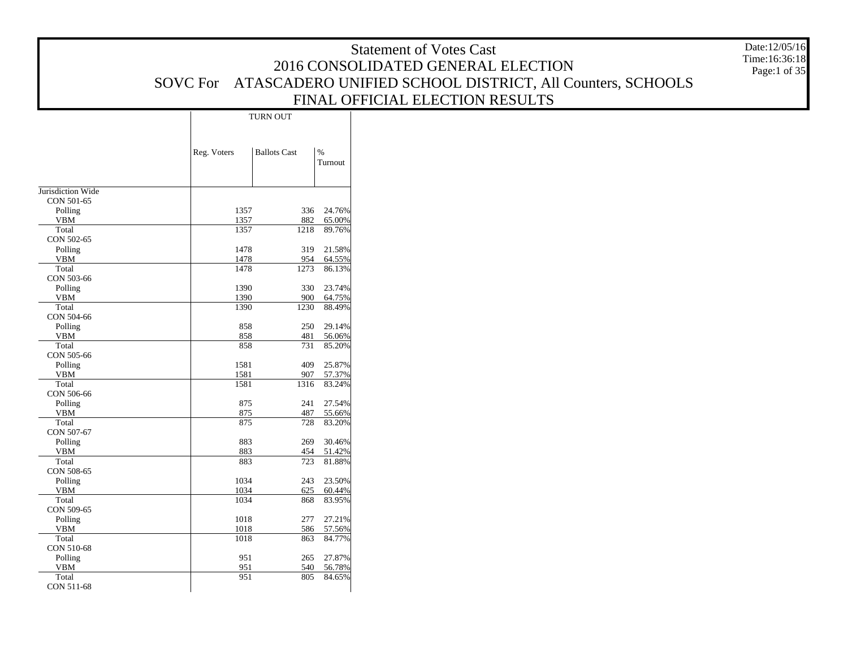#### Statement of Votes Cast 2016 CONSOLIDATED GENERAL ELECTION SOVC For ATASCADERO UNIFIED SCHOOL DISTRICT, All Counters, SCHOOLS FINAL OFFICIAL ELECTION RESULTS Date:12/05/16 Time:16:36:18 Page:1 of 35 Reg. Voters | Ballots Cast | % TurnoutTURN OUT

|                       | Reg. Voters | <b>Ballots Cast</b> | %       |
|-----------------------|-------------|---------------------|---------|
|                       |             |                     | Turnout |
|                       |             |                     |         |
| Jurisdiction Wide     |             |                     |         |
| CON 501-65            |             |                     |         |
| Polling               | 1357        | 336                 | 24.76%  |
| <b>VBM</b>            | 1357        | 882                 | 65.00%  |
| Total                 | 1357        | 1218                | 89.76%  |
| CON 502-65            |             |                     |         |
| Polling               | 1478        | 319                 | 21.58%  |
| <b>VBM</b>            | 1478        | 954                 | 64.55%  |
| Total                 | 1478        | 1273                | 86.13%  |
| CON 503-66            |             |                     |         |
| Polling               | 1390        | 330                 | 23.74%  |
| <b>VBM</b>            | 1390        | 900                 | 64.75%  |
| Total                 | 1390        | 1230                | 88.49%  |
| CON 504-66            |             |                     |         |
| Polling               | 858         | 250                 | 29.14%  |
| <b>VBM</b>            | 858         | 481                 | 56.06%  |
| Total                 | 858         | 731                 | 85.20%  |
| CON 505-66            | 1581        | 409                 | 25.87%  |
| Polling<br><b>VBM</b> | 1581        | 907                 | 57.37%  |
| Total                 | 1581        | 1316                | 83.24%  |
| CON 506-66            |             |                     |         |
| Polling               | 875         | 241                 | 27.54%  |
| <b>VBM</b>            | 875         | 487                 | 55.66%  |
| Total                 | 875         | 728                 | 83.20%  |
| CON 507-67            |             |                     |         |
| Polling               | 883         | 269                 | 30.46%  |
| <b>VBM</b>            | 883         | 454                 | 51.42%  |
| Total                 | 883         | 723                 | 81.88%  |
| CON 508-65            |             |                     |         |
| Polling               | 1034        | 243                 | 23.50%  |
| <b>VBM</b>            | 1034        | 625                 | 60.44%  |
| Total                 | 1034        | 868                 | 83.95%  |
| CON 509-65            |             |                     |         |
| Polling               | 1018        | 277                 | 27.21%  |
| <b>VBM</b>            | 1018        | 586                 | 57.56%  |
| Total                 | 1018        | 863                 | 84.77%  |
| CON 510-68            |             |                     |         |
| Polling               | 951         | 265                 | 27.87%  |
| <b>VBM</b>            | 951         | 540                 | 56.78%  |
| Total                 | 951         | 805                 | 84.65%  |
| CON 511-68            |             |                     |         |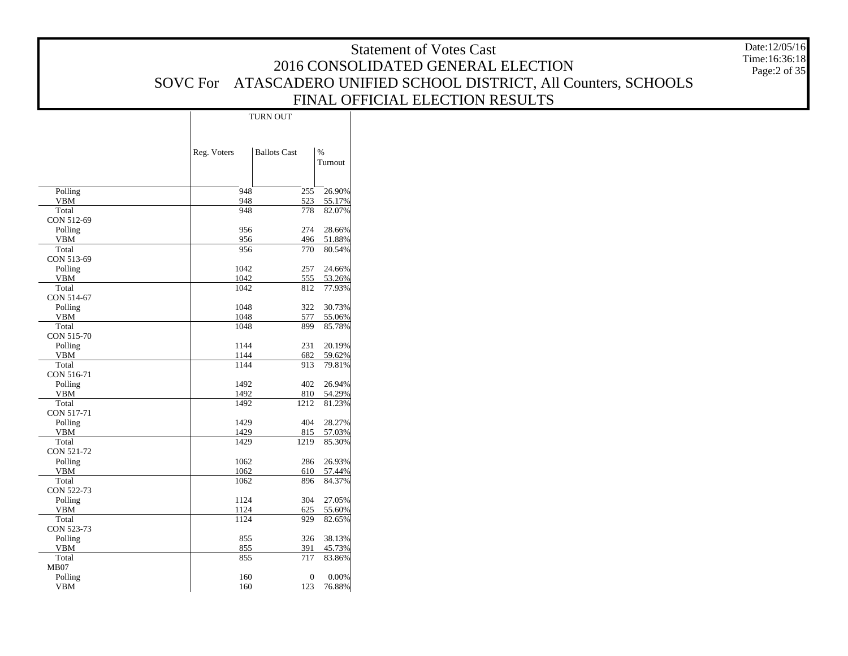Date:12/05/16 Time:16:36:18 Page:2 of 35

|                       |             | TURN OUT            |                          |
|-----------------------|-------------|---------------------|--------------------------|
|                       | Reg. Voters | <b>Ballots Cast</b> | $\frac{0}{0}$<br>Turnout |
| Polling               | 948         | 255                 | 26.90%                   |
| <b>VBM</b>            | 948         | 523                 | 55.17%                   |
| Total                 | 948         | 778                 | 82.07%                   |
| CON 512-69            |             |                     |                          |
| Polling               | 956         | 274                 | 28.66%                   |
| <b>VBM</b>            | 956         | 496                 | 51.88%                   |
| Total                 | 956         | 770                 | 80.54%                   |
| CON 513-69            |             |                     |                          |
| Polling               | 1042        | 257                 | 24.66%                   |
| <b>VBM</b>            | 1042        | 555                 | 53.26%                   |
| Total                 | 1042        | 812                 | 77.93%                   |
| CON 514-67            |             |                     |                          |
| Polling               | 1048        | 322                 | 30.73%                   |
| <b>VBM</b>            | 1048        | 577                 | 55.06%                   |
| Total                 | 1048        | 899                 | 85.78%                   |
| CON 515-70            | 1144        | 231                 | 20.19%                   |
| Polling<br><b>VBM</b> | 1144        | 682                 | 59.62%                   |
| Total                 | 1144        | 913                 | 79.81%                   |
| CON 516-71            |             |                     |                          |
| Polling               | 1492        | 402                 | 26.94%                   |
| <b>VBM</b>            | 1492        | 810                 | 54.29%                   |
| Total                 | 1492        | 1212                | 81.23%                   |
| CON 517-71            |             |                     |                          |
| Polling               | 1429        | 404                 | 28.27%                   |
| <b>VBM</b>            | 1429        | 815                 | 57.03%                   |
| Total                 | 1429        | 1219                | 85.30%                   |
| CON 521-72            |             |                     |                          |
| Polling               | 1062        | 286                 | 26.93%                   |
| <b>VBM</b>            | 1062        | 610                 | 57.44%                   |
| Total                 | 1062        | 896                 | 84.37%                   |
| CON 522-73            |             |                     |                          |
| Polling               | 1124        | 304                 | 27.05%                   |
| <b>VBM</b>            | 1124        | 625                 | 55.60%                   |
| Total                 | 1124        | 929                 | 82.65%                   |
| CON 523-73            |             |                     |                          |
| Polling               | 855         | 326                 | 38.13%                   |
| VBM                   | 855         | 391                 | 45.73%                   |
| Total                 | 855         | 717                 | 83.86%                   |
| <b>MB07</b>           |             |                     |                          |
| Polling               | 160         | $\boldsymbol{0}$    | 0.00%                    |
| <b>VBM</b>            | 160         | 123                 | 76.88%                   |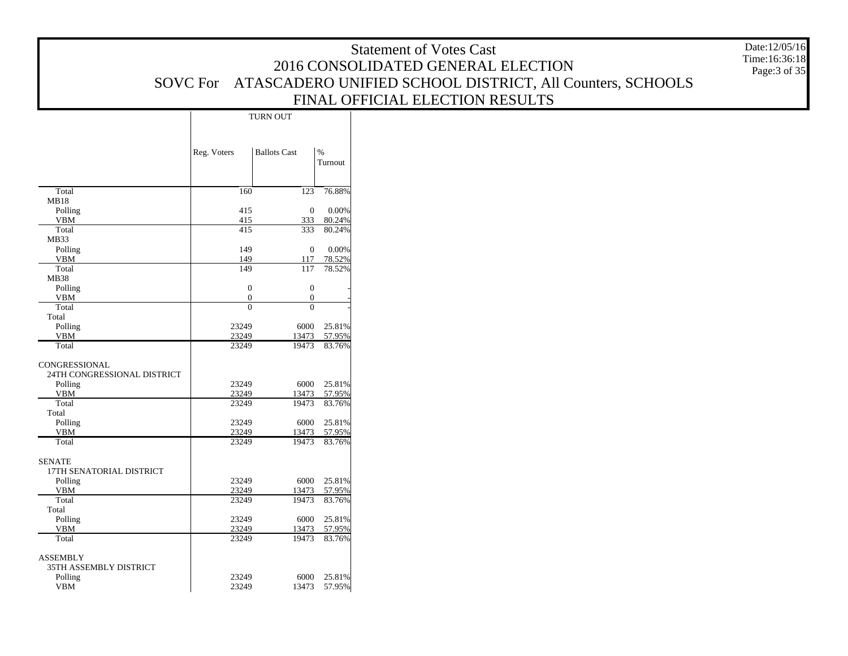Date:12/05/16 Time:16:36:18 Page:3 of 35

|                                                         |                | TURN OUT            |                          |
|---------------------------------------------------------|----------------|---------------------|--------------------------|
|                                                         | Reg. Voters    | <b>Ballots Cast</b> | $\frac{9}{6}$<br>Turnout |
| Total                                                   | 160            | 123                 | 76.88%                   |
| MB18                                                    |                |                     |                          |
| Polling                                                 | 415            | $\mathbf{0}$        | 0.00%                    |
| <b>VBM</b>                                              | 415            | 333                 | 80.24%                   |
| Total                                                   | 415            | 333                 | 80.24%                   |
| <b>MB33</b>                                             |                |                     |                          |
| Polling<br><b>VBM</b>                                   | 149            | $\boldsymbol{0}$    | 0.00%                    |
| Total                                                   | 149<br>149     | 117<br>117          | 78.52%<br>78.52%         |
| <b>MB38</b>                                             |                |                     |                          |
| Polling                                                 | $\mathbf{0}$   | 0                   |                          |
| VBM                                                     | $\mathbf{0}$   | $\mathbf{0}$        |                          |
| Total                                                   | $\overline{0}$ | $\theta$            |                          |
| Total                                                   |                |                     |                          |
| Polling                                                 | 23249          | 6000                | 25.81%                   |
| <b>VBM</b>                                              | 23249          | 13473               | 57.95%                   |
| Total                                                   | 23249          | 19473               | 83.76%                   |
| CONGRESSIONAL<br>24TH CONGRESSIONAL DISTRICT<br>Polling | 23249          | 6000                | 25.81%                   |
| <b>VBM</b>                                              | 23249          | 13473               | 57.95%                   |
| Total<br>Total                                          | 23249          | 19473               | 83.76%                   |
| Polling                                                 | 23249          | 6000                | 25.81%                   |
| <b>VBM</b>                                              | 23249          | 13473               | 57.95%                   |
| Total                                                   | 23249          | 19473               | 83.76%                   |
| <b>SENATE</b><br>17TH SENATORIAL DISTRICT<br>Polling    | 23249          | 6000                | 25.81%                   |
| <b>VBM</b>                                              | 23249          | 13473               | 57.95%                   |
| Total                                                   | 23249          | 19473               | 83.76%                   |
| Total                                                   |                |                     |                          |
| Polling                                                 | 23249          | 6000                | 25.81%                   |
| <b>VBM</b>                                              | 23249          | 13473               | 57.95%                   |
| Total                                                   | 23249          | 19473               | 83.76%                   |
| <b>ASSEMBLY</b><br>35TH ASSEMBLY DISTRICT               |                |                     |                          |
| Polling                                                 | 23249          | 6000                | 25.81%                   |
| <b>VBM</b>                                              | 23249          | 13473               | 57.95%                   |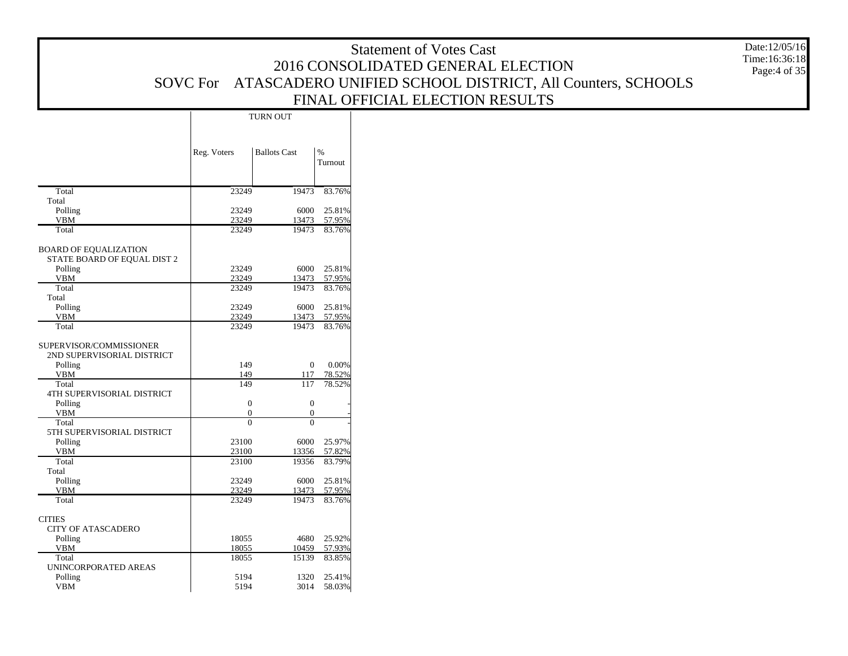#### Statement of Votes Cast 2016 CONSOLIDATED GENERAL ELECTION SOVC For ATASCADERO UNIFIED SCHOOL DISTRICT, All Counters, SCHOOLS FINAL OFFICIAL ELECTION RESULTS Date:12/05/16 Time:16:36:18 Page:4 of 35

|                                   |                | TURN OUT            |                  |
|-----------------------------------|----------------|---------------------|------------------|
|                                   | Reg. Voters    | <b>Ballots Cast</b> | $\%$<br>Turnout  |
|                                   |                |                     |                  |
| Total                             | 23249          | 19473               | 83.76%           |
| Total                             |                |                     |                  |
| Polling                           | 23249          | 6000                | 25.81%           |
| <b>VBM</b><br>Total               | 23249<br>23249 | 13473<br>19473      | 57.95%<br>83.76% |
|                                   |                |                     |                  |
| <b>BOARD OF EQUALIZATION</b>      |                |                     |                  |
| STATE BOARD OF EQUAL DIST 2       |                |                     |                  |
| Polling                           | 23249          | 6000                | 25.81%           |
| <b>VBM</b>                        | 23249          | 13473               | 57.95%           |
| Total                             | 23249          | 19473               | 83.76%           |
| Total                             |                |                     |                  |
| Polling                           | 23249          | 6000                | 25.81%           |
| <b>VBM</b>                        | 23249          | 13473               | 57.95%           |
| Total                             | 23249          | 19473               | 83.76%           |
| SUPERVISOR/COMMISSIONER           |                |                     |                  |
| 2ND SUPERVISORIAL DISTRICT        |                |                     |                  |
| Polling                           | 149            | $\overline{0}$      | 0.00%            |
| VBM                               | 149            | 117                 | 78.52%           |
| Total                             | 149            | 117                 | 78.52%           |
| <b>4TH SUPERVISORIAL DISTRICT</b> |                |                     |                  |
| Polling                           | $\overline{0}$ | $\overline{0}$      |                  |
| <b>VBM</b>                        | $\overline{0}$ | $\boldsymbol{0}$    |                  |
| Total                             | $\theta$       | $\theta$            |                  |
| 5TH SUPERVISORIAL DISTRICT        | 23100          | 6000                | 25.97%           |
| Polling<br><b>VBM</b>             | 23100          | 13356               | 57.82%           |
| Total                             | 23100          | 19356               | 83.79%           |
| Total                             |                |                     |                  |
| Polling                           | 23249          | 6000                | 25.81%           |
| <b>VBM</b>                        | 23249          | 13473               | 57.95%           |
| Total                             | 23249          | 19473               | 83.76%           |
|                                   |                |                     |                  |
| <b>CITIES</b>                     |                |                     |                  |
| <b>CITY OF ATASCADERO</b>         |                |                     |                  |
| Polling                           | 18055<br>18055 | 4680<br>10459       | 25.92%<br>57.93% |
| VBM<br>Total                      | 18055          | 15139               | 83.85%           |
| UNINCORPORATED AREAS              |                |                     |                  |
| Polling                           | 5194           | 1320                | 25.41%           |
| <b>VBM</b>                        | 5194           | 3014                | 58.03%           |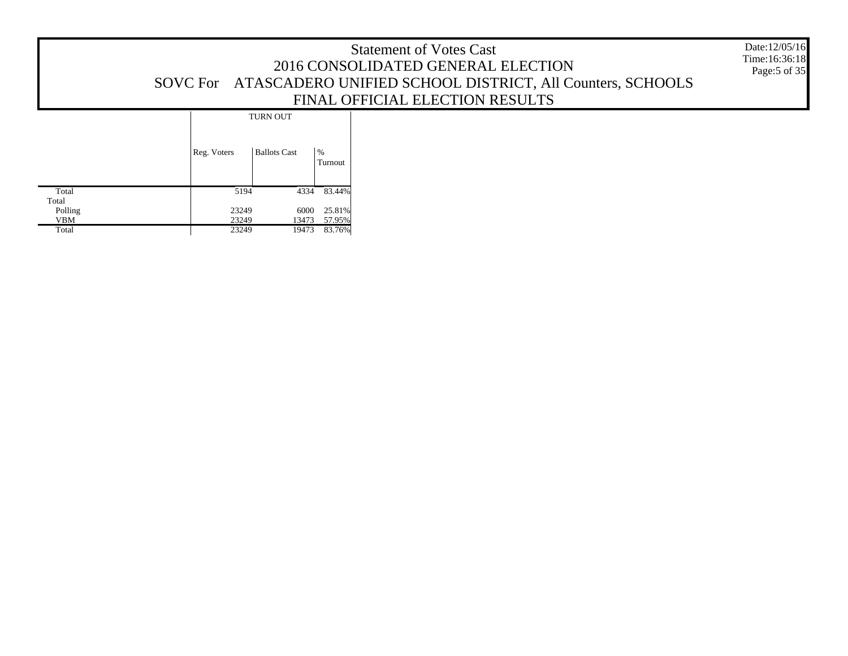Date:12/05/16 Time:16:36:18 Page:5 of 35

|                |             | TURN OUT            |              |
|----------------|-------------|---------------------|--------------|
|                | Reg. Voters | <b>Ballots Cast</b> | %<br>Turnout |
| Total<br>Total | 5194        | 4334                | 83.44%       |
| Polling        | 23249       | 6000                | 25.81%       |
| VBM            | 23249       | 13473               | 57.95%       |
| Total          | 23249       | 19473               | 83.76%       |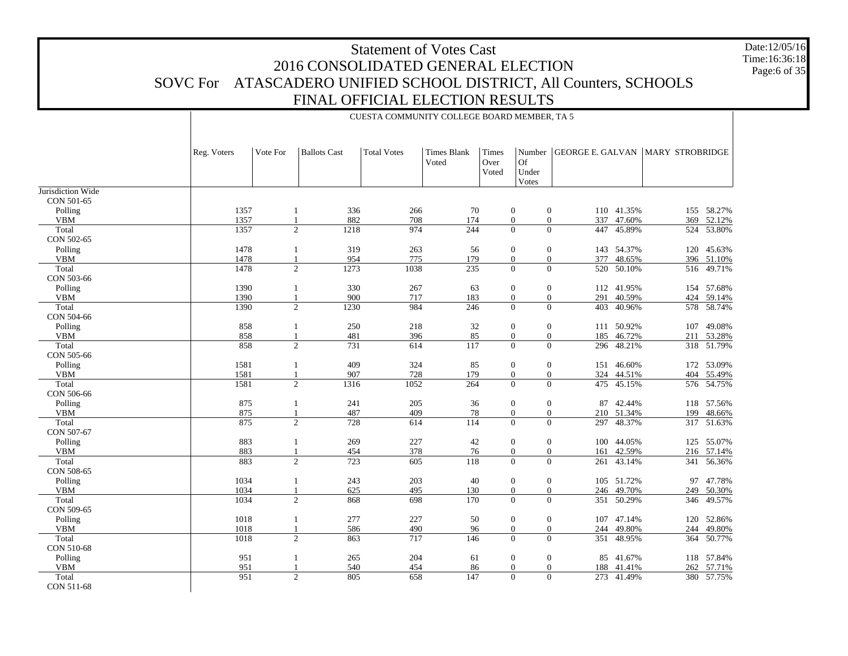CUESTA COMMUNITY COLLEGE BOARD MEMBER, TA 5

Date:12/05/16Time:16:36:18Page:6 of 35

Jurisdiction Wide CON 501-65 Polling VBM Total CON 502-65 Polling VBM Total CON 503-66 Polling VBM Total CON 504-66 Polling VBM**Total**  CON 505-66 Polling VBM**Total**  CON 506-66 Polling VBM**Total**  CON 507-67 Polling VBM**Total**  CON 508-65 Polling VBM Total CON 509-65 Polling VBM**Total**  CON 510-68 Polling VBM TotalReg. Voters | Vote For | Ballots Cast | Total Votes | Times Blank VotedTimes Over VotedNumber Of Under VotesGEORGE E. GALVAN |MARY STROBRIDGE 13571 336 266 70 0 0 110 41.35% 155 58.27% 1357 1 882 708 174 0 0 337 47.60% 369 52.12% 1357 2 1218 974 244 0 0 447 45.89% 524 53.80% 1478 1 319 263 56 0 0 143 54.37% 120 45.63% 1478 1 954 775 179 0 0 377 48.65% 396 51.10% 1478 2 1273 1038 235 0 0 520 50.10%50.10% 516 49.71% 1390 1 330 267 63 0 0 112 41.95% 154 57.68% 1390 1 900 717 183 0 0 291 40.59% 424 59.14% 1390 $\begin{array}{ccccccc} 0 & 2 & 1230 & 984 & 246 & 0 & 0 & 403 & 40.96\% \end{array}$  578 58.74% 858 1 250 218 32 0 0 111 50.92% 107 49.08% 858 1 481 396 85 0 0 185 46.72% 211 53.28% 858 2 731 614 117 0 0 296 48.21% 318 51.79% 1581 1 409 324 85 0 0 151 46.60% 172 53.09% 15811 907 728 179 0 0 324 44.51% 404 55.49% 1581 2 1316 1052 264 0 0 475 45.15%45.15% 576 54.75% 875 1 241 205 36 0 0 87 42.44% 118 57.56% 875 1 487 409 78 0 0 210 51.34% 199 48.66% 875 2 728 614 114 0 0 297 48.37% 317 51.63% 8831 269 227 42 0 0 100 44.05% 125 55.07% 883 1 454 378 76 0 0 161 42.59% 216 57.14% 883 2 723 605 118 0 0 261 43.14% 341 56.36% 1034 1 243 203 40 0 0 105 51.72% 97 47.78% 1034 1 625 495 130 0 0 246 49.70% 249 50.30% 1034 2 868 698 170 0 0 351 50.29%50.29% 346 49.57% 10181 277 227 50 0 0 107 47.14% 120 52.86% 1018 1 586 490 96 0 0 244 49.80% 244 49.80% 1018 2 863 717 146 0 0 351 48.95% 364 50.77% 9511 265 204 61 0 0 85 41.67% 118 57.84% 951 1 540 454 86 0 0 188 41.41% 262 57.71% 951 2 805 658 147 0 0 273 41.49%380 57.75%

CON 511-68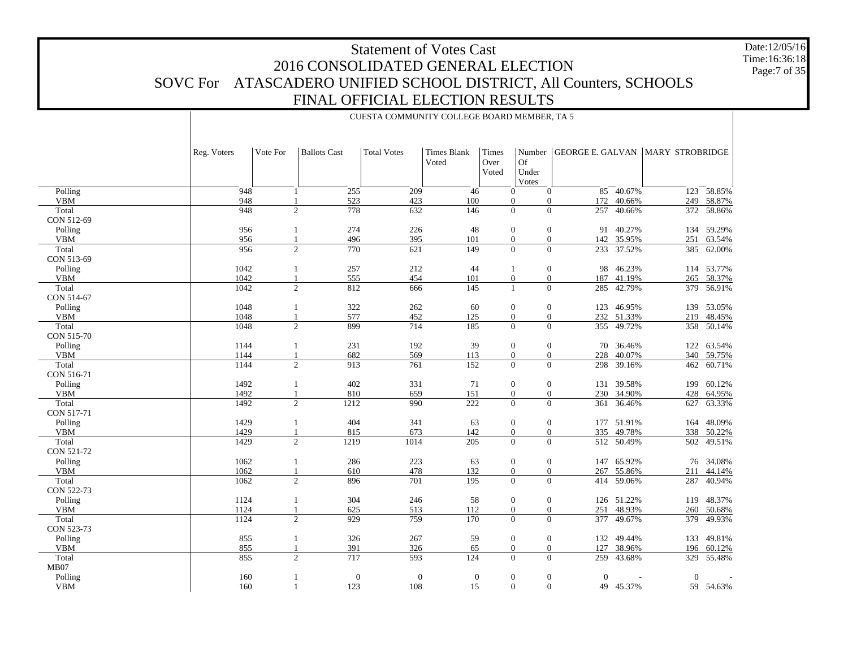Polling VBM**Total**  CON 512-69 Polling VBM Total CON 513-69 Polling VBM**Total**  CON 514-67 Polling VBM**Total**  CON 515-70 Polling VBM Total CON 516-71 Polling VBM Total CON 517-71 Polling VBM Total CON 521-72 Polling VBM Total CON 522-73 Polling VBM**Total**  CON 523-73 Polling VBM**Total**  MB07 Reg. Voters | Vote For | Ballots Cast | Total Votes | Times Blank VotedTimes Over VotedNumber Of Under VotesGEORGE E. GALVAN |MARY STROBRIDGE 948 1 255 209 46 0 0 85 40.67% $\frac{1}{40.67\%}$  123 58.85% 948 1 523 423 100 0 0 172 40.66% 249 58.87% 948 2 778 632 146 0 0 257 40.66% 372 58.86% 956 1 274 226 48 0 0 91 40.27% 134 59.29% 956 1 496 395 101 0 0 142 35.95% 251 63.54% 9562 770 621 149 0 0 233 37.52% 385 62.00% 1042 1 257 212 44 1 0 98 46.23% 114 53.77% 1042 1 555 454 101 0 0 187 41.19% 265 58.37% 1042 2 812 666 145 1 0 285 42.79%42.79% 379 56.91% 10481 322 262 60 0 0 123 46.95% 139 53.05% 1048 1 577 452 125 0 0 232 51.33% 219 48.45% 1048 2 899 714 185 0 0 355 49.72% 358 50.14% 11441 231 192 39 0 0 70 36.46% 122 63.54% 1144 1 682 569 113 0 0 228 40.07% 340 59.75% 1144 2 913 761 152 0 0 298 39.16% 462 60.71% 1492 1 402 331 71 0 0 131 39.58% 199 60.12% 1492 1 810 659 151 0 0 230 34.90% 428 64.95% 1492 2 1212 990 222 0 0 361 36.46% 627 63.33% 1429 1 404 341 63 0 0 177 51.91% 164 48.09% 1429 1 815 673 142 0 0 335 49.78% 338 50.22% 14292 1219 1014 205 0 0 512 50.49% 502 49.51% 1062 1 286 223 63 0 0 147 65.92% 76 34.08% 1062 1 610 478 132 0 0 267 55.86% 211 44.14% 1062 $2$  2 896 701 195 0 0 414 59.06% 59.06% 287 40.94% 1124 1 304 246 58 0 0 126 51.22% 119 48.37% 1124 1 625 513 112 0 0 251 48.93% 260 50.68% 1124 2 929 759 170 0 0 377 49.67% 379 49.93% 855 1 326 267 59 0 0 132 49.44% 133 49.81% 855 1 391 326 65 0 0 127 38.96% 196 60.12% 855 2 717 593 124 0 0 259 43.68%329 55.48%

 Polling VBM

160

160

CUESTA COMMUNITY COLLEGE BOARD MEMBER, TA 5

1 0 0 0 0 0 0 - 0 -

59 54.63%

 $1$  123 108 15 0 0 49 45.37%

Date:12/05/16Time:16:36:18Page:7 of 35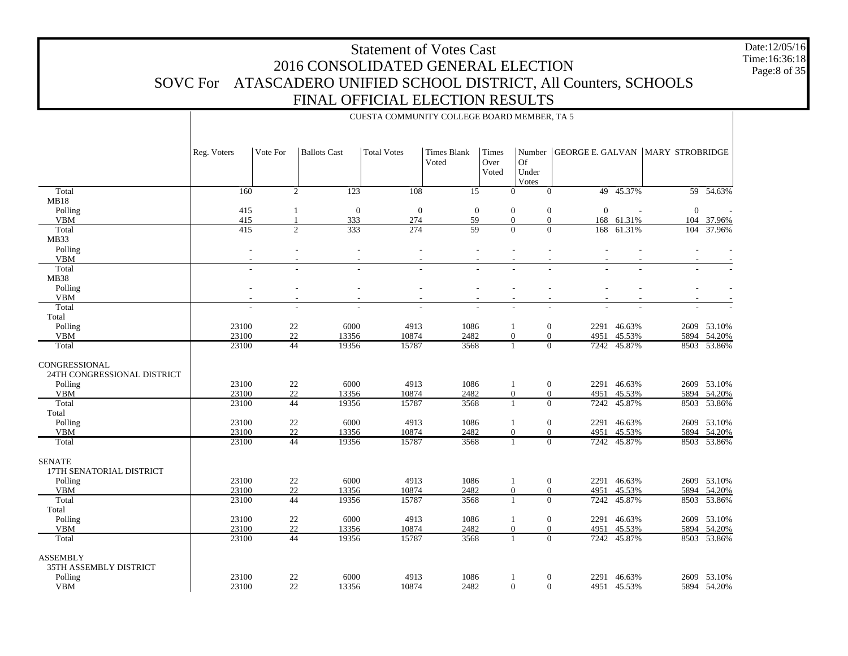Date:12/05/16 Time:16:36:18 Page:8 of 35

|                                                         |             |                |                                    | CUESTA COMMUNITY COLLEGE BOARD MEMBER, TA 5 |                             |                               |                                  |                         |                |                        |             |
|---------------------------------------------------------|-------------|----------------|------------------------------------|---------------------------------------------|-----------------------------|-------------------------------|----------------------------------|-------------------------|----------------|------------------------|-------------|
|                                                         | Reg. Voters | Vote For       | <b>Ballots Cast</b>                | <b>Total Votes</b>                          | <b>Times Blank</b><br>Voted | <b>Times</b><br>Over<br>Voted | <b>Of</b><br>Under<br>Votes      | Number GEORGE E. GALVAN |                | <b>MARY STROBRIDGE</b> |             |
| Total                                                   | 160         |                | 2<br>123                           | 108                                         | 15                          |                               | $\mathbf{0}$<br>$\mathbf{0}$     |                         | 49 45.37%      |                        | 59 54.63%   |
| MB18                                                    |             |                |                                    |                                             |                             |                               |                                  |                         |                |                        |             |
| Polling                                                 | 415         | -1             | $\boldsymbol{0}$                   | $\boldsymbol{0}$                            | $\mathbf{0}$                |                               | $\mathbf{0}$<br>$\mathbf{0}$     | $\boldsymbol{0}$        |                | $\mathbf{0}$           |             |
| <b>VBM</b>                                              | 415         | $\overline{1}$ | 333                                | 274                                         | 59                          |                               | $\overline{0}$<br>$\theta$       | 168                     | 61.31%         | 104                    | 37.96%      |
| Total                                                   | 415         |                | 2<br>333                           | 274                                         | 59                          |                               | $\overline{0}$<br>$\overline{0}$ |                         | 168 61.31%     | 104                    | 37.96%      |
| MB33                                                    |             |                |                                    |                                             |                             |                               |                                  |                         |                |                        |             |
| Polling                                                 |             |                | $\sim$                             | $\sim$                                      |                             |                               | ÷                                |                         |                |                        |             |
| <b>VBM</b>                                              |             |                | ÷.                                 | ÷.                                          |                             |                               |                                  |                         |                |                        |             |
| Total                                                   |             |                | L.                                 |                                             |                             |                               |                                  |                         |                |                        |             |
| <b>MB38</b>                                             |             |                |                                    |                                             |                             |                               |                                  |                         |                |                        |             |
| Polling<br><b>VBM</b>                                   |             |                | $\overline{\phantom{a}}$<br>$\sim$ | $\sim$<br>$\sim$                            |                             |                               |                                  |                         | $\overline{a}$ |                        |             |
| Total                                                   |             |                | $\sim$                             |                                             |                             |                               |                                  |                         |                |                        |             |
| Total                                                   |             |                |                                    |                                             |                             |                               |                                  |                         |                |                        |             |
| Polling                                                 | 23100       | $22\,$         | 6000                               | 4913                                        | 1086                        |                               | $\mathbf{0}$                     |                         | 2291 46.63%    |                        | 2609 53.10% |
| <b>VBM</b>                                              | 23100       | 22             | 13356                              | 10874                                       | 2482                        |                               | $\overline{0}$<br>$\theta$       | 4951                    | 45.53%         | 5894                   | 54.20%      |
| Total                                                   | 23100       | 44             | 19356                              | 15787                                       | 3568                        |                               | $\overline{0}$<br>-1             | 7242                    | 45.87%         |                        | 8503 53.86% |
| CONGRESSIONAL<br>24TH CONGRESSIONAL DISTRICT<br>Polling | 23100       | $22\,$         | 6000                               | 4913                                        | 1086                        |                               | $\mathbf{0}$<br>$\overline{1}$   |                         | 2291 46.63%    |                        | 2609 53.10% |
| <b>VBM</b>                                              | 23100       | 22             | 13356                              | 10874                                       | 2482                        |                               | $\overline{0}$<br>$\theta$       | 4951                    | 45.53%         |                        | 5894 54.20% |
| Total                                                   | 23100       | 44             | 19356                              | 15787                                       | 3568                        |                               | $\Omega$                         | 7242                    | 45.87%         |                        | 8503 53.86% |
| Total                                                   |             |                |                                    |                                             |                             |                               |                                  |                         |                |                        |             |
| Polling                                                 | 23100       | $22\,$         | 6000                               | 4913                                        | 1086                        |                               | $\mathbf{0}$<br>-1               |                         | 2291 46.63%    |                        | 2609 53.10% |
| <b>VBM</b>                                              | 23100       | 22             | 13356                              | 10874                                       | 2482                        |                               | $\Omega$<br>$\mathbf{0}$         | 4951                    | 45.53%         | 5894                   | 54.20%      |
| Total                                                   | 23100       | 44             | 19356                              | 15787                                       | 3568                        |                               | $\Omega$<br>$\mathbf{1}$         | 7242                    | 45.87%         |                        | 8503 53.86% |
| <b>SENATE</b><br>17TH SENATORIAL DISTRICT               |             |                |                                    |                                             |                             |                               |                                  |                         |                |                        |             |
| Polling                                                 | 23100       | 22             | 6000                               | 4913                                        | 1086                        |                               | $\mathbf{0}$<br>1                |                         | 2291 46.63%    |                        | 2609 53.10% |
| <b>VBM</b>                                              | 23100       | 22             | 13356                              | 10874                                       | 2482                        |                               | $\Omega$<br>$\overline{0}$       | 4951                    | 45.53%         |                        | 5894 54.20% |
| Total                                                   | 23100       | 44             | 19356                              | 15787                                       | 3568                        |                               | $\Omega$<br>$\mathbf{1}$         | 7242                    | 45.87%         |                        | 8503 53.86% |
| Total                                                   |             |                |                                    |                                             |                             |                               |                                  |                         |                |                        |             |
| Polling                                                 | 23100       | 22             | 6000                               | 4913                                        | 1086                        |                               | $\mathbf{0}$<br>1                |                         | 2291 46.63%    |                        | 2609 53.10% |
| <b>VBM</b>                                              | 23100       | 22             | 13356                              | 10874                                       | 2482                        |                               | $\overline{0}$<br>$\mathbf{0}$   | 4951                    | 45.53%         | 5894                   | 54.20%      |
| Total                                                   | 23100       | 44             | 19356                              | 15787                                       | 3568                        |                               | $\Omega$<br>$\mathbf{1}$         | 7242                    | 45.87%         |                        | 8503 53.86% |
| <b>ASSEMBLY</b><br>35TH ASSEMBLY DISTRICT<br>Polling    | 23100       | 22             | 6000                               | 4913                                        | 1086                        |                               | $\mathbf{0}$                     | 2291                    | 46.63%         | 2609                   | 53.10%      |
| <b>VBM</b>                                              | 23100       | 22             | 13356                              | 10874                                       | 2482                        |                               | $\theta$<br>$\mathbf{0}$         |                         | 4951 45.53%    |                        | 5894 54.20% |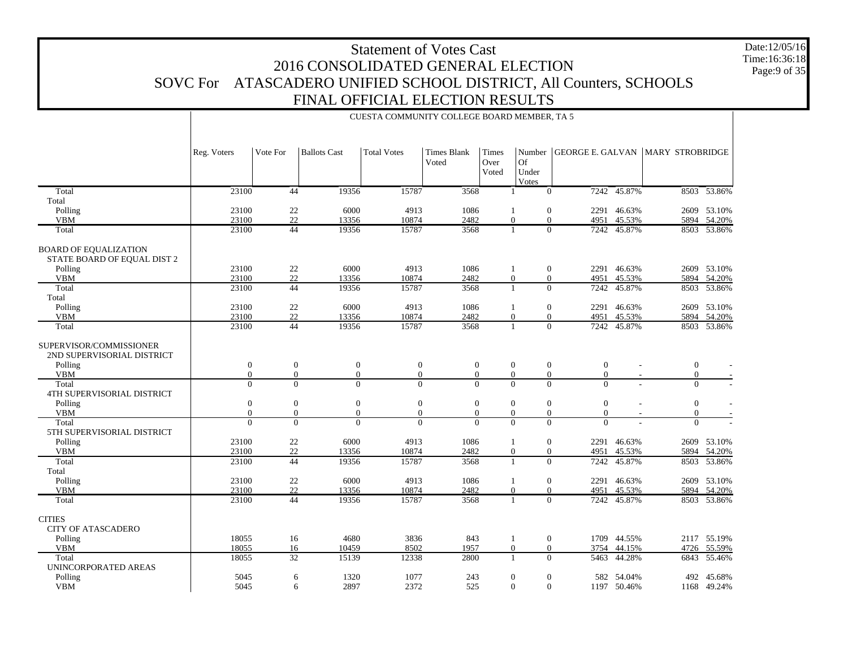Date:12/05/16 Time:16:36:18Page:9 of 35

|                                                             |                  |                 |                     | CUESTA COMMUNITY COLLEGE BOARD MEMBER, TA 5 |                             |                        |                                    |                         |             |                        |             |
|-------------------------------------------------------------|------------------|-----------------|---------------------|---------------------------------------------|-----------------------------|------------------------|------------------------------------|-------------------------|-------------|------------------------|-------------|
|                                                             | Reg. Voters      | Vote For        | <b>Ballots Cast</b> | <b>Total Votes</b>                          | <b>Times Blank</b><br>Voted | Times<br>Over<br>Voted | <b>Of</b><br>Under<br><b>Votes</b> | Number GEORGE E. GALVAN |             | <b>MARY STROBRIDGE</b> |             |
| Total                                                       | 23100            | 44              | 19356               | 15787                                       | 3568                        | $\mathbf{1}$           | $\Omega$                           |                         | 7242 45.87% |                        | 8503 53.86% |
| Total                                                       |                  |                 |                     |                                             |                             |                        |                                    |                         |             |                        |             |
| Polling                                                     | 23100            | 22              | 6000                | 4913                                        | 1086                        | 1                      | $\mathbf{0}$                       |                         | 2291 46.63% |                        | 2609 53.10% |
| <b>VBM</b>                                                  | 23100            | 22              | 13356               | 10874                                       | 2482                        | $\Omega$               | $\Omega$                           | 4951                    | 45.53%      | 5894                   | 54.20%      |
| Total                                                       | 23100            | 44              | 19356               | 15787                                       | 3568                        | $\mathbf{1}$           | $\Omega$                           | 7242                    | 45.87%      |                        | 8503 53.86% |
| <b>BOARD OF EQUALIZATION</b><br>STATE BOARD OF EQUAL DIST 2 |                  |                 |                     |                                             |                             |                        |                                    |                         |             |                        |             |
| Polling                                                     | 23100            | 22              | 6000                | 4913                                        | 1086                        | 1                      | $\overline{0}$                     |                         | 2291 46.63% |                        | 2609 53.10% |
| <b>VBM</b>                                                  | 23100            | 22              | 13356               | 10874                                       | 2482                        | $\Omega$               | $\mathbf{0}$                       | 4951                    | 45.53%      | 5894                   | 54.20%      |
| Total                                                       | 23100            | 44              | 19356               | 15787                                       | 3568                        |                        | $\Omega$                           | 7242                    | 45.87%      | 8503                   | 53.86%      |
| Total                                                       |                  |                 |                     |                                             |                             |                        |                                    |                         |             |                        |             |
| Polling                                                     | 23100            | 22              | 6000                | 4913                                        | 1086                        | 1                      | $\mathbf{0}$                       |                         | 2291 46.63% |                        | 2609 53.10% |
| <b>VBM</b>                                                  | 23100            | 22              | 13356               | 10874                                       | 2482                        | $\Omega$               | $\overline{0}$                     | 4951                    | 45.53%      | 5894                   | 54.20%      |
| Total                                                       | 23100            | 44              | 19356               | 15787                                       | 3568                        |                        | $\Omega$                           |                         | 7242 45.87% |                        | 8503 53.86% |
| SUPERVISOR/COMMISSIONER<br>2ND SUPERVISORIAL DISTRICT       |                  |                 |                     |                                             |                             |                        |                                    |                         |             |                        |             |
| Polling                                                     | $\mathbf{0}$     | $\mathbf{0}$    | $\boldsymbol{0}$    | $\mathbf{0}$                                | $\mathbf{0}$                | $\mathbf{0}$           | $\mathbf{0}$                       | $\mathbf{0}$            |             | $\boldsymbol{0}$       |             |
| <b>VBM</b>                                                  | $\mathbf{0}$     | $\overline{0}$  | $\mathbf{0}$        | $\overline{0}$                              | $\overline{0}$              | $\Omega$               | $\overline{0}$                     | $\Omega$                |             | $\theta$               |             |
| Total<br>4TH SUPERVISORIAL DISTRICT                         | $\overline{0}$   | $\overline{0}$  | $\Omega$            | $\overline{0}$                              | $\overline{0}$              | $\Omega$               | $\Omega$                           | $\Omega$                |             | $\overline{0}$         |             |
| Polling                                                     | $\boldsymbol{0}$ | $\mathbf{0}$    | $\boldsymbol{0}$    | $\boldsymbol{0}$                            | $\boldsymbol{0}$            | $\mathbf{0}$           | $\mathbf{0}$                       | $\theta$                |             | $\boldsymbol{0}$       |             |
| <b>VBM</b>                                                  | $\Omega$         | $\mathbf{0}$    | $\boldsymbol{0}$    | $\overline{0}$                              | $\overline{0}$              | $\overline{0}$         | $\mathbf{0}$                       | $\Omega$                |             | $\mathbf{0}$           |             |
| Total<br>5TH SUPERVISORIAL DISTRICT                         | $\Omega$         | $\Omega$        | $\Omega$            | $\theta$                                    | $\Omega$                    | $\Omega$               | $\Omega$                           | $\Omega$                |             | $\Omega$               |             |
| Polling                                                     | 23100            | $22\,$          | 6000                | 4913                                        | 1086                        | 1                      | $\mathbf{0}$                       |                         | 2291 46.63% |                        | 2609 53.10% |
| <b>VBM</b>                                                  | 23100            | 22              | 13356               | 10874                                       | 2482                        | $\overline{0}$         | $\mathbf{0}$                       | 4951                    | 45.53%      | 5894                   | 54.20%      |
| Total                                                       | 23100            | 44              | 19356               | 15787                                       | 3568                        |                        | $\Omega$                           | 7242                    | 45.87%      | 8503                   | 53.86%      |
| Total                                                       |                  |                 |                     |                                             |                             |                        |                                    |                         |             |                        |             |
| Polling                                                     | 23100            | 22              | 6000                | 4913                                        | 1086                        | 1                      | $\mathbf{0}$                       |                         | 2291 46.63% | 2609                   | 53.10%      |
| <b>VBM</b>                                                  | 23100            | 22              | 13356               | 10874                                       | 2482                        | $\Omega$               | $\Omega$                           | 4951                    | 45.53%      | 5894                   | 54.20%      |
| Total                                                       | 23100            | 44              | 19356               | 15787                                       | 3568                        | $\mathbf{1}$           | $\Omega$                           | 7242                    | 45.87%      |                        | 8503 53.86% |
| <b>CITIES</b><br>CITY OF ATASCADERO                         |                  |                 |                     |                                             |                             |                        |                                    |                         |             |                        |             |
| Polling                                                     | 18055            | 16              | 4680                | 3836                                        | 843                         | 1                      | $\overline{0}$                     |                         | 1709 44.55% |                        | 2117 55.19% |
| <b>VBM</b>                                                  | 18055            | 16              | 10459               | 8502                                        | 1957                        | $\overline{0}$         | $\mathbf{0}$                       | 3754                    | 44.15%      | 4726                   | 55.59%      |
| Total                                                       | 18055            | $\overline{32}$ | 15139               | 12338                                       | 2800                        |                        | $\Omega$                           | 5463                    | 44.28%      | 6843                   | 55.46%      |
| UNINCORPORATED AREAS                                        |                  |                 |                     |                                             |                             |                        |                                    |                         |             |                        |             |
| Polling                                                     | 5045             | 6               | 1320                | 1077                                        | 243                         | $\boldsymbol{0}$       | $\mathbf{0}$                       |                         | 582 54.04%  |                        | 492 45.68%  |
| <b>VBM</b>                                                  | 5045             |                 | 2897<br>6           | 2372                                        | 525                         | $\overline{0}$         | $\Omega$                           |                         | 1197 50.46% |                        | 1168 49.24% |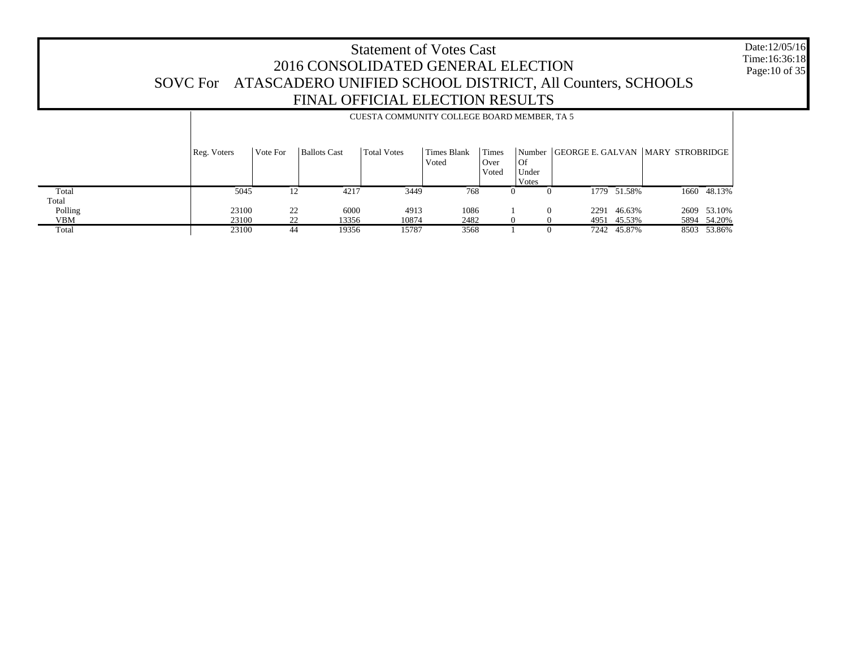Date:12/05/16 Time:16:36:18 Page:10 of 35

|            |             | CUESTA COMMUNITY COLLEGE BOARD MEMBER, TA 5 |                     |                    |                      |                               |                                     |                                         |             |  |             |
|------------|-------------|---------------------------------------------|---------------------|--------------------|----------------------|-------------------------------|-------------------------------------|-----------------------------------------|-------------|--|-------------|
|            | Reg. Voters | Vote For                                    | <b>Ballots Cast</b> | <b>Total Votes</b> | Times Blank<br>Voted | <b>Times</b><br>Over<br>Voted | <b>Of</b><br>Under<br><b>V</b> otes | Number GEORGE E. GALVAN MARY STROBRIDGE |             |  |             |
| Total      | 5045        | 12                                          | 4217                | 3449               | 768                  |                               |                                     |                                         | 1779 51.58% |  | 1660 48.13% |
| Total      |             |                                             |                     |                    |                      |                               |                                     |                                         |             |  |             |
| Polling    | 23100       | 22                                          | 6000                | 4913               | 1086                 |                               | $\Omega$                            | 2291                                    | 46.63%      |  | 2609 53.10% |
| <b>VBM</b> | 23100       | 22                                          | 13356               | 10874              | 2482                 |                               |                                     | 4951                                    | 45.53%      |  | 5894 54.20% |
| Total      | 23100       | 44                                          | 19356               | 15787              | 3568                 |                               |                                     |                                         | 7242 45.87% |  | 8503 53.86% |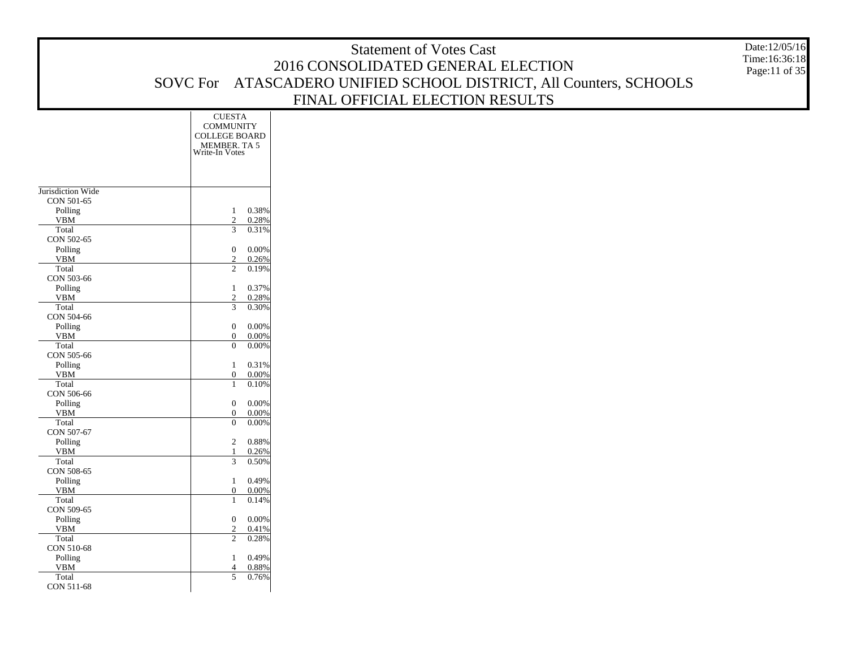|                       |                                                    | <b>Statement of Votes Cast</b>                                     | Date:12/05/16                  |
|-----------------------|----------------------------------------------------|--------------------------------------------------------------------|--------------------------------|
|                       |                                                    | 2016 CONSOLIDATED GENERAL ELECTION                                 | Time:16:36:18<br>Page:11 of 35 |
|                       |                                                    | SOVC For ATASCADERO UNIFIED SCHOOL DISTRICT, All Counters, SCHOOLS |                                |
|                       |                                                    |                                                                    |                                |
|                       |                                                    | FINAL OFFICIAL ELECTION RESULTS                                    |                                |
|                       | <b>CUESTA</b>                                      |                                                                    |                                |
|                       | <b>COMMUNITY</b><br><b>COLLEGE BOARD</b>           |                                                                    |                                |
|                       | MEMBER. TA 5                                       |                                                                    |                                |
|                       | Write-In Votes                                     |                                                                    |                                |
|                       |                                                    |                                                                    |                                |
| Jurisdiction Wide     |                                                    |                                                                    |                                |
| CON 501-65            |                                                    |                                                                    |                                |
| Polling               | 0.38%                                              |                                                                    |                                |
| <b>VBM</b><br>Total   | $\overline{2}$<br>0.28%<br>0.31%<br>3              |                                                                    |                                |
| CON 502-65            |                                                    |                                                                    |                                |
| Polling               | 0.00%<br>$\mathbf{0}$                              |                                                                    |                                |
| <b>VBM</b><br>Total   | 0.26%<br>$\overline{c}$<br>$\overline{2}$<br>0.19% |                                                                    |                                |
| CON 503-66            |                                                    |                                                                    |                                |
| Polling               | 0.37%                                              |                                                                    |                                |
| <b>VBM</b>            | $\overline{2}$<br>0.28%<br>3                       |                                                                    |                                |
| Total<br>CON 504-66   | 0.30%                                              |                                                                    |                                |
| Polling               | 0.00%<br>$\mathbf{0}$                              |                                                                    |                                |
| ${\tt VBM}$           | $\mathbf{0}$<br>0.00%                              |                                                                    |                                |
| Total<br>CON 505-66   | 0.00%<br>$\overline{0}$                            |                                                                    |                                |
| Polling               | 0.31%                                              |                                                                    |                                |
| <b>VBM</b>            | 0.00%<br>$\mathbf{0}$                              |                                                                    |                                |
| Total<br>CON 506-66   | 0.10%<br>1                                         |                                                                    |                                |
| Polling               | 0.00%<br>$\mathbf{0}$                              |                                                                    |                                |
| <b>VBM</b>            | $\mathbf{0}$<br>0.00%                              |                                                                    |                                |
| Total<br>CON 507-67   | 0.00%<br>$\overline{0}$                            |                                                                    |                                |
| Polling               | 0.88%<br>2                                         |                                                                    |                                |
| <b>VBM</b>            | 0.26%                                              |                                                                    |                                |
| Total<br>CON 508-65   | 0.50%<br>3                                         |                                                                    |                                |
| Polling               | 0.49%                                              |                                                                    |                                |
| <b>VBM</b>            | 0.00%<br>$\overline{0}$                            |                                                                    |                                |
| Total                 | 0.14%<br>-1                                        |                                                                    |                                |
| CON 509-65<br>Polling | $0\quad 0.00\%$                                    |                                                                    |                                |
| <b>VBM</b>            | 0.41%<br>$\boldsymbol{2}$                          |                                                                    |                                |
| Total                 | $\overline{2}$<br>0.28%                            |                                                                    |                                |
| CON 510-68            |                                                    |                                                                    |                                |
| Polling<br><b>VBM</b> | 0.49%<br>0.88%<br>$\overline{4}$                   |                                                                    |                                |
| Total                 | 0.76%<br>$5\overline{)}$                           |                                                                    |                                |
| CON 511-68            |                                                    |                                                                    |                                |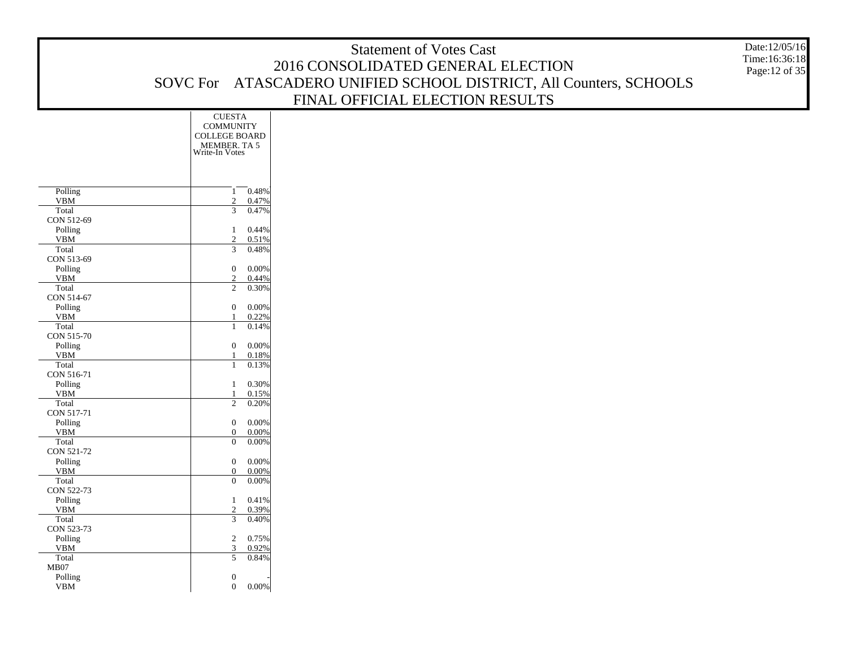|                        |                                  |                | <b>Statement of Votes Cast</b>                                     | Date:12/05/16  |
|------------------------|----------------------------------|----------------|--------------------------------------------------------------------|----------------|
|                        |                                  |                | 2016 CONSOLIDATED GENERAL ELECTION                                 | Time:16:36:18  |
|                        |                                  |                |                                                                    | Page: 12 of 35 |
|                        |                                  |                | SOVC For ATASCADERO UNIFIED SCHOOL DISTRICT, All Counters, SCHOOLS |                |
|                        |                                  |                | FINAL OFFICIAL ELECTION RESULTS                                    |                |
|                        | <b>CUESTA</b>                    |                |                                                                    |                |
|                        | <b>COMMUNITY</b>                 |                |                                                                    |                |
|                        | <b>COLLEGE BOARD</b>             |                |                                                                    |                |
|                        | MEMBER. TA 5<br>Write-In Votes   |                |                                                                    |                |
|                        |                                  |                |                                                                    |                |
|                        |                                  |                |                                                                    |                |
| Polling                | 1                                | 0.48%          |                                                                    |                |
| ${\tt VBM}$            | 2                                | 0.47%          |                                                                    |                |
| Total                  | 3                                | 0.47%          |                                                                    |                |
| CON 512-69             |                                  |                |                                                                    |                |
| Polling<br>${\tt VBM}$ | $\mathbf{1}$<br>2                | 0.44%<br>0.51% |                                                                    |                |
| Total                  | $\mathfrak{Z}$                   | 0.48%          |                                                                    |                |
| CON 513-69             |                                  |                |                                                                    |                |
| Polling                | $\boldsymbol{0}$                 | 0.00%          |                                                                    |                |
| <b>VBM</b><br>Total    | 2<br>$\overline{c}$              | 0.44%<br>0.30% |                                                                    |                |
| CON 514-67             |                                  |                |                                                                    |                |
| Polling                | $\boldsymbol{0}$                 | 0.00%          |                                                                    |                |
| <b>VBM</b>             | $\mathbf{1}$                     | 0.22%          |                                                                    |                |
| Total<br>CON 515-70    | $\mathbf{1}$                     | 0.14%          |                                                                    |                |
| Polling                | $\mathbf{0}$                     | 0.00%          |                                                                    |                |
| <b>VBM</b>             | $\mathbf{1}$                     | 0.18%          |                                                                    |                |
| Total                  | $\mathbf{1}$                     | 0.13%          |                                                                    |                |
| CON 516-71<br>Polling  | $\mathbf{1}$                     | 0.30%          |                                                                    |                |
| <b>VBM</b>             | 1                                | 0.15%          |                                                                    |                |
| Total                  | 2                                | 0.20%          |                                                                    |                |
| CON 517-71             |                                  |                |                                                                    |                |
| Polling<br><b>VBM</b>  | $\boldsymbol{0}$<br>$\mathbf{0}$ | 0.00%<br>0.00% |                                                                    |                |
| Total                  | $\boldsymbol{0}$                 | 0.00%          |                                                                    |                |
| CON 521-72             |                                  |                |                                                                    |                |
| Polling                | $\boldsymbol{0}$                 | 0.00%          |                                                                    |                |
| <b>VBM</b><br>Total    | $\mathbf{0}$<br>$\mathbf{0}$     | 0.00%<br>0.00% |                                                                    |                |
| CON 522-73             |                                  |                |                                                                    |                |
| Polling                | $\mathbf{1}$                     | 0.41%          |                                                                    |                |
| VBM                    | 2                                | 0.39%          |                                                                    |                |
| Total<br>CON 523-73    | 3                                | 0.40%          |                                                                    |                |
| Polling                | $\overline{c}$                   | 0.75%          |                                                                    |                |
| ${\tt VBM}$            | 3                                | 0.92%          |                                                                    |                |
| Total                  | 5                                | 0.84%          |                                                                    |                |
| MB07<br>Polling        | $\boldsymbol{0}$                 |                |                                                                    |                |
| <b>VBM</b>             | $\mathbf{0}$                     | 0.00%          |                                                                    |                |
|                        |                                  |                |                                                                    |                |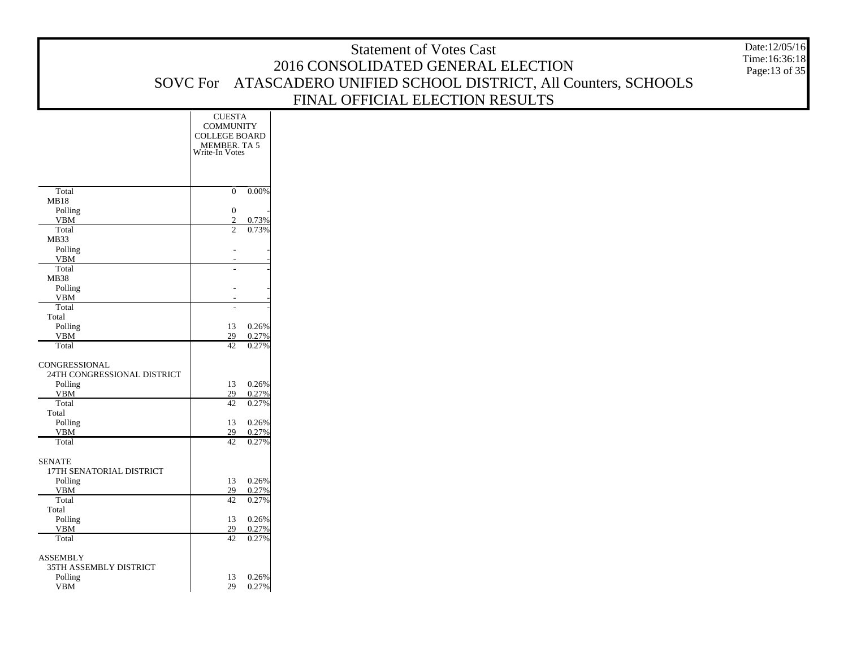|                                    |                                   |                   | <b>Statement of Votes Cast</b>                                     | Date:12/05/16                  |
|------------------------------------|-----------------------------------|-------------------|--------------------------------------------------------------------|--------------------------------|
|                                    |                                   |                   | 2016 CONSOLIDATED GENERAL ELECTION                                 | Time:16:36:18<br>Page:13 of 35 |
|                                    |                                   |                   | SOVC For ATASCADERO UNIFIED SCHOOL DISTRICT, All Counters, SCHOOLS |                                |
|                                    |                                   |                   |                                                                    |                                |
|                                    |                                   |                   | FINAL OFFICIAL ELECTION RESULTS                                    |                                |
|                                    | <b>CUESTA</b><br><b>COMMUNITY</b> |                   |                                                                    |                                |
|                                    | <b>COLLEGE BOARD</b>              |                   |                                                                    |                                |
|                                    | MEMBER. TA 5                      |                   |                                                                    |                                |
|                                    | Write-In Votes                    |                   |                                                                    |                                |
|                                    |                                   |                   |                                                                    |                                |
| Total                              | $\overline{0}$                    | $0.00\%$          |                                                                    |                                |
| MB18                               |                                   |                   |                                                                    |                                |
| Polling                            | $\mathbf{0}$                      |                   |                                                                    |                                |
| <b>VBM</b><br>Total                | 2<br>$\overline{2}$               | 0.73%<br>0.73%    |                                                                    |                                |
| MB33                               |                                   |                   |                                                                    |                                |
| Polling<br><b>VBM</b>              |                                   |                   |                                                                    |                                |
| Total                              |                                   |                   |                                                                    |                                |
| MB38                               |                                   |                   |                                                                    |                                |
| Polling<br><b>VBM</b>              |                                   |                   |                                                                    |                                |
| Total                              | $\overline{a}$                    |                   |                                                                    |                                |
| Total                              |                                   |                   |                                                                    |                                |
| Polling<br><b>VBM</b>              | 13<br>29                          | 0.26%<br>0.27%    |                                                                    |                                |
| Total                              | 42                                | 0.27%             |                                                                    |                                |
| CONGRESSIONAL                      |                                   |                   |                                                                    |                                |
| 24TH CONGRESSIONAL DISTRICT        |                                   |                   |                                                                    |                                |
| Polling<br><b>VBM</b>              | 13<br>29                          | 0.26%             |                                                                    |                                |
| Total                              | 42                                | 0.27%<br>0.27%    |                                                                    |                                |
| Total                              |                                   |                   |                                                                    |                                |
| Polling<br><b>VBM</b>              | 13<br>29                          | 0.26%<br>0.27%    |                                                                    |                                |
| Total                              | 42                                | 0.27%             |                                                                    |                                |
| <b>SENATE</b>                      |                                   |                   |                                                                    |                                |
| 17TH SENATORIAL DISTRICT           |                                   |                   |                                                                    |                                |
| Polling                            | 13                                | 0.26%             |                                                                    |                                |
| <b>VBM</b><br>Total                | 29<br>42                          | 0.27%<br>0.27%    |                                                                    |                                |
| Total                              |                                   |                   |                                                                    |                                |
| Polling                            | 29                                | 13 0.26%<br>0.27% |                                                                    |                                |
| <b>VBM</b><br>Total                |                                   | 42 0.27%          |                                                                    |                                |
|                                    |                                   |                   |                                                                    |                                |
| ASSEMBLY<br>35TH ASSEMBLY DISTRICT |                                   |                   |                                                                    |                                |
| Polling                            | 13                                | 0.26%             |                                                                    |                                |
| VBM                                | 29                                | 0.27%             |                                                                    |                                |
|                                    |                                   |                   |                                                                    |                                |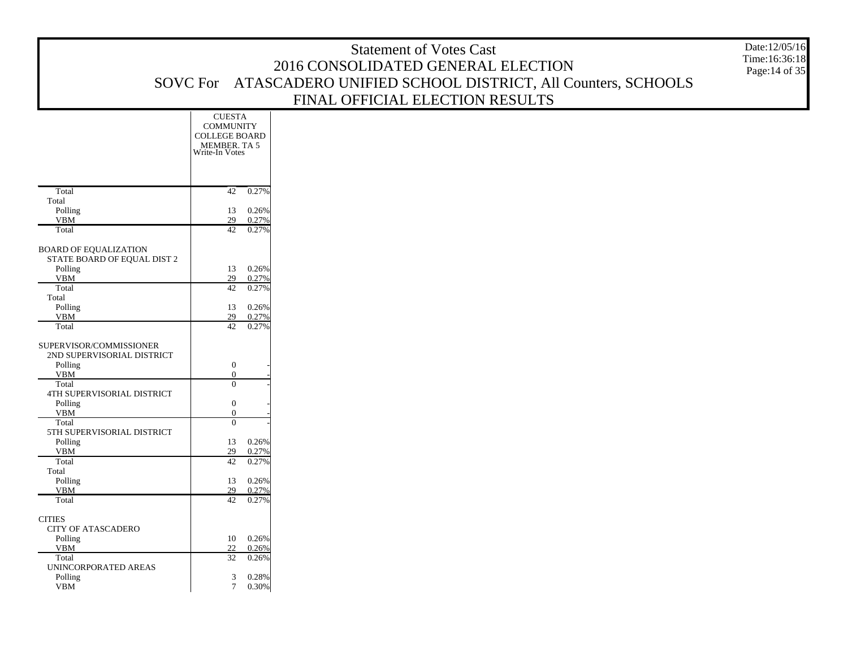|                                                             |                                         | <b>Statement of Votes Cast</b>                                     | Date:12/05/16<br>Time:16:36:18 |
|-------------------------------------------------------------|-----------------------------------------|--------------------------------------------------------------------|--------------------------------|
|                                                             |                                         | 2016 CONSOLIDATED GENERAL ELECTION                                 | Page: 14 of 35                 |
|                                                             |                                         | SOVC For ATASCADERO UNIFIED SCHOOL DISTRICT, All Counters, SCHOOLS |                                |
|                                                             |                                         |                                                                    |                                |
|                                                             |                                         | FINAL OFFICIAL ELECTION RESULTS                                    |                                |
|                                                             | <b>CUESTA</b>                           |                                                                    |                                |
|                                                             | <b>COMMUNITY</b><br>COLLEGE BOARD       |                                                                    |                                |
|                                                             | MEMBER, TA 5                            |                                                                    |                                |
|                                                             | Write-In Votes                          |                                                                    |                                |
|                                                             |                                         |                                                                    |                                |
|                                                             |                                         |                                                                    |                                |
| Total                                                       | $42 - 0.27%$                            |                                                                    |                                |
| Total                                                       |                                         |                                                                    |                                |
| Polling<br><b>VBM</b>                                       | 0.26%<br>13<br>29<br>0.27%              |                                                                    |                                |
| Total                                                       | 42<br>0.27%                             |                                                                    |                                |
|                                                             |                                         |                                                                    |                                |
| <b>BOARD OF EQUALIZATION</b><br>STATE BOARD OF EQUAL DIST 2 |                                         |                                                                    |                                |
| Polling                                                     | 0.26%<br>13                             |                                                                    |                                |
| <b>VBM</b>                                                  | 29<br>0.27%                             |                                                                    |                                |
| Total                                                       | 42<br>0.27%                             |                                                                    |                                |
| Total                                                       |                                         |                                                                    |                                |
| Polling<br><b>VBM</b>                                       | 0.26%<br>13<br>29<br>0.27%              |                                                                    |                                |
| Total                                                       | 42<br>0.27%                             |                                                                    |                                |
| SUPERVISOR/COMMISSIONER                                     |                                         |                                                                    |                                |
| 2ND SUPERVISORIAL DISTRICT                                  |                                         |                                                                    |                                |
| Polling                                                     | $\boldsymbol{0}$                        |                                                                    |                                |
| <b>VBM</b>                                                  | $\theta$                                |                                                                    |                                |
| Total                                                       | $\overline{0}$                          |                                                                    |                                |
| 4TH SUPERVISORIAL DISTRICT<br>Polling                       | $\boldsymbol{0}$                        |                                                                    |                                |
| <b>VBM</b>                                                  | $\theta$                                |                                                                    |                                |
| Total                                                       | $\overline{0}$                          |                                                                    |                                |
| 5TH SUPERVISORIAL DISTRICT                                  |                                         |                                                                    |                                |
| Polling<br><b>VBM</b>                                       | 0.26%<br>13                             |                                                                    |                                |
| Total                                                       | 29<br>0.27%<br>42<br>0.27%              |                                                                    |                                |
| Total                                                       |                                         |                                                                    |                                |
| Polling                                                     | 0.26%<br>13                             |                                                                    |                                |
| <b>VBM</b>                                                  | 29<br>0.27%                             |                                                                    |                                |
| Total                                                       | 42<br>0.27%                             |                                                                    |                                |
| $CITIES$                                                    |                                         |                                                                    |                                |
| CITY OF ATASCADERO                                          |                                         |                                                                    |                                |
| Polling                                                     | $0.26\%$<br>10                          |                                                                    |                                |
| <b>VBM</b><br>Total                                         | 22<br>0.26%<br>$\overline{32}$<br>0.26% |                                                                    |                                |
| UNINCORPORATED AREAS                                        |                                         |                                                                    |                                |
| Polling                                                     | 0.28%<br>3                              |                                                                    |                                |
| VBM                                                         | 0.30%<br>$7\overline{ }$                |                                                                    |                                |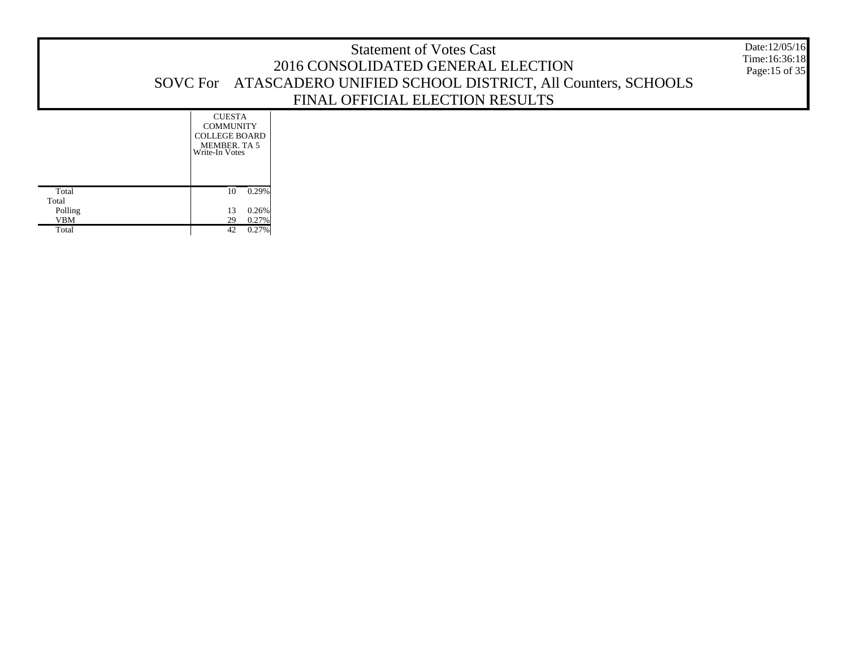| <b>Statement of Votes Cast</b><br>2016 CONSOLIDATED GENERAL ELECTION<br>SOVC For ATASCADERO UNIFIED SCHOOL DISTRICT, All Counters, SCHOOLS<br>FINAL OFFICIAL ELECTION RESULTS | Date:12/05/16<br>Time:16:36:18<br>Page: 15 of 35 |
|-------------------------------------------------------------------------------------------------------------------------------------------------------------------------------|--------------------------------------------------|
| <b>CUESTA</b><br><b>COMMUNITY</b><br>COLLEGE BOARD<br>MEMBER, TA 5<br>Write-In Votes                                                                                          |                                                  |

 Total Total Polling VBM Total

10 0.29%

13 0.26% 29 0.27% 42 0.27%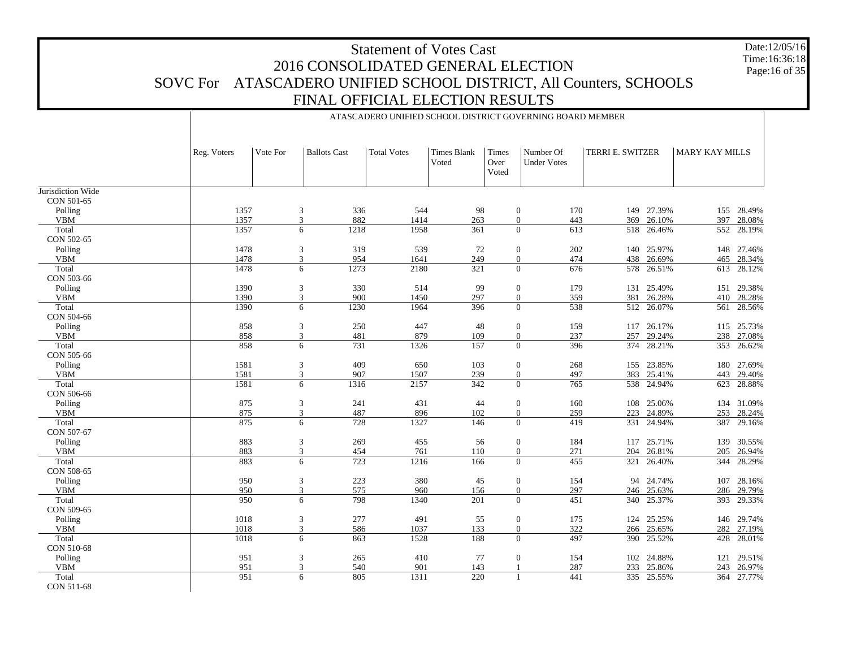Date:12/05/16 Time:16:36:18 Page:16 of 35

|                   |             |          |                       |                    |                             |                        | ATASCADERO UNIFIED SCHOOL DISTRICT GOVERNING BOARD MEMBER |                  |            |                |            |
|-------------------|-------------|----------|-----------------------|--------------------|-----------------------------|------------------------|-----------------------------------------------------------|------------------|------------|----------------|------------|
|                   |             |          |                       |                    |                             |                        |                                                           |                  |            |                |            |
|                   | Reg. Voters | Vote For | <b>Ballots Cast</b>   | <b>Total Votes</b> | <b>Times Blank</b><br>Voted | Times<br>Over<br>Voted | Number Of<br><b>Under Votes</b>                           | TERRI E. SWITZER |            | MARY KAY MILLS |            |
| Jurisdiction Wide |             |          |                       |                    |                             |                        |                                                           |                  |            |                |            |
| CON 501-65        |             |          |                       |                    |                             |                        |                                                           |                  |            |                |            |
| Polling           | 1357        |          | 3<br>336              | 544                | 98                          |                        | $\boldsymbol{0}$<br>170                                   |                  | 149 27.39% |                | 155 28.49% |
| ${\tt VBM}$       | 1357        | 3        | 882                   | 1414               | 263                         |                        | $\mathbf{0}$<br>443                                       | 369              | 26.10%     | 397            | 28.08%     |
| Total             | 1357        |          | 6<br>1218             | 1958               | 361                         |                        | $\overline{0}$<br>613                                     | 518              | 26.46%     | 552            | 28.19%     |
| CON 502-65        |             |          |                       |                    |                             |                        |                                                           |                  |            |                |            |
| Polling           | 1478        |          | 319<br>3              | 539                | 72                          |                        | $\boldsymbol{0}$<br>202                                   | 140              | 25.97%     |                | 148 27.46% |
| <b>VBM</b>        | 1478        |          | 3<br>954              | 1641               | 249                         |                        | $\mathbf{0}$<br>474                                       | 438              | 26.69%     | 465            | 28.34%     |
| Total             | 1478        |          | 6<br>1273             | 2180               | 321                         |                        | $\overline{0}$<br>676                                     | 578              | 26.51%     | 613            | 28.12%     |
| CON 503-66        |             |          |                       |                    |                             |                        |                                                           |                  |            |                |            |
| Polling           | 1390        | 3        | 330                   | 514                | 99                          |                        | $\boldsymbol{0}$<br>179                                   | 131              | 25.49%     | 151            | 29.38%     |
| <b>VBM</b>        | 1390        | 3        | 900                   | 1450               | 297                         |                        | $\overline{0}$<br>359                                     | 381              | 26.28%     |                | 410 28.28% |
| Total             | 1390        |          | 1230<br>6             | 1964               | 396                         |                        | $\overline{0}$<br>538                                     |                  | 512 26.07% |                | 561 28.56% |
| CON 504-66        |             |          |                       |                    |                             |                        |                                                           |                  |            |                |            |
| Polling           | 858         | 3        | 250                   | 447                | 48                          |                        | $\boldsymbol{0}$<br>159                                   |                  | 117 26.17% |                | 115 25.73% |
| <b>VBM</b>        | 858         | 3        | 481                   | 879                | 109                         |                        | $\mathbf{0}$<br>237                                       | 257              | 29.24%     |                | 238 27.08% |
| Total             | 858         |          | 731<br>6              | 1326               | 157                         |                        | $\overline{0}$<br>396                                     | 374              | 28.21%     | 353            | 26.62%     |
| CON 505-66        |             |          |                       |                    |                             |                        |                                                           |                  |            |                |            |
| Polling           | 1581        |          | 409<br>3              | 650                | 103                         |                        | $\boldsymbol{0}$<br>268                                   |                  | 155 23.85% | 180            | 27.69%     |
| <b>VBM</b>        | 1581        |          | 3<br>907              | 1507               | 239                         |                        | $\mathbf{0}$<br>497                                       | 383              | 25.41%     | 443            | 29.40%     |
| Total             | 1581        |          | 1316<br>6             | 2157               | 342                         |                        | $\overline{0}$<br>765                                     | 538              | 24.94%     | 623            | 28.88%     |
| CON 506-66        |             |          |                       |                    |                             |                        |                                                           |                  |            |                |            |
| Polling           | 875         | 3        | 241                   | 431                | 44                          |                        | $\boldsymbol{0}$<br>160                                   | 108              | 25.06%     |                | 134 31.09% |
| <b>VBM</b>        | 875         | 3        | 487                   | 896                | 102                         |                        | $\overline{0}$<br>259                                     | 223              | 24.89%     | 253            | 28.24%     |
| Total             | 875         |          | 728<br>6              | 1327               | 146                         |                        | $\overline{0}$<br>419                                     | 331              | 24.94%     | 387            | 29.16%     |
| CON 507-67        |             |          |                       |                    |                             |                        |                                                           |                  |            |                |            |
| Polling           | 883         |          | 3<br>269              | 455                | 56                          |                        | $\boldsymbol{0}$<br>184                                   | 117              | 25.71%     | 139            | 30.55%     |
| <b>VBM</b>        | 883         | 3        | 454                   | 761                | 110                         |                        | $\overline{0}$<br>271                                     | 204              | 26.81%     | 205            | 26.94%     |
| Total             | 883         |          | 723<br>6              | 1216               | 166                         |                        | $\overline{0}$<br>455                                     | 321              | 26.40%     | 344            | 28.29%     |
| CON 508-65        |             |          |                       |                    |                             |                        |                                                           |                  |            |                |            |
| Polling           | 950         | 3        | 223                   | 380                | 45                          |                        | $\boldsymbol{0}$<br>154                                   |                  | 94 24.74%  | 107            | 28.16%     |
| <b>VBM</b>        | 950         | 3        | 575                   | 960                | 156                         |                        | $\overline{0}$<br>297                                     |                  | 246 25.63% | 286            | 29.79%     |
| Total             | 950         |          | 798<br>6              | 1340               | 201                         |                        | $\overline{0}$<br>451                                     | 340              | 25.37%     | 393            | 29.33%     |
| CON 509-65        |             |          |                       |                    |                             |                        |                                                           |                  |            |                |            |
| Polling           | 1018        | 3        | 277                   | 491                | 55                          |                        | $\mathbf{0}$<br>175                                       | 124              | 25.25%     | 146            | 29.74%     |
| <b>VBM</b>        | 1018        |          | 3<br>586              | 1037               | 133                         |                        | $\overline{0}$<br>322                                     | 266              | 25.65%     | 282            | 27.19%     |
| Total             | 1018        |          | 6<br>863              | 1528               | 188                         |                        | $\mathbf{0}$<br>497                                       | 390              | 25.52%     | 428            | 28.01%     |
| CON 510-68        |             |          |                       |                    |                             |                        |                                                           |                  |            |                |            |
| Polling           | 951         | 3        | 265                   | 410                | 77                          |                        | $\overline{0}$<br>154                                     | 102              | 24.88%     | 121            | 29.51%     |
| <b>VBM</b>        | 951         |          | $\overline{3}$<br>540 | 901                | 143                         |                        | 287<br>$\overline{1}$                                     | 233              | 25.86%     | 243            | 26.97%     |
| Total             | 951         |          | 805<br>6              | 1311               | $\overline{220}$            |                        | 441<br>$\mathbf{1}$                                       |                  | 335 25.55% | 364            | 27.77%     |
| CON 511-68        |             |          |                       |                    |                             |                        |                                                           |                  |            |                |            |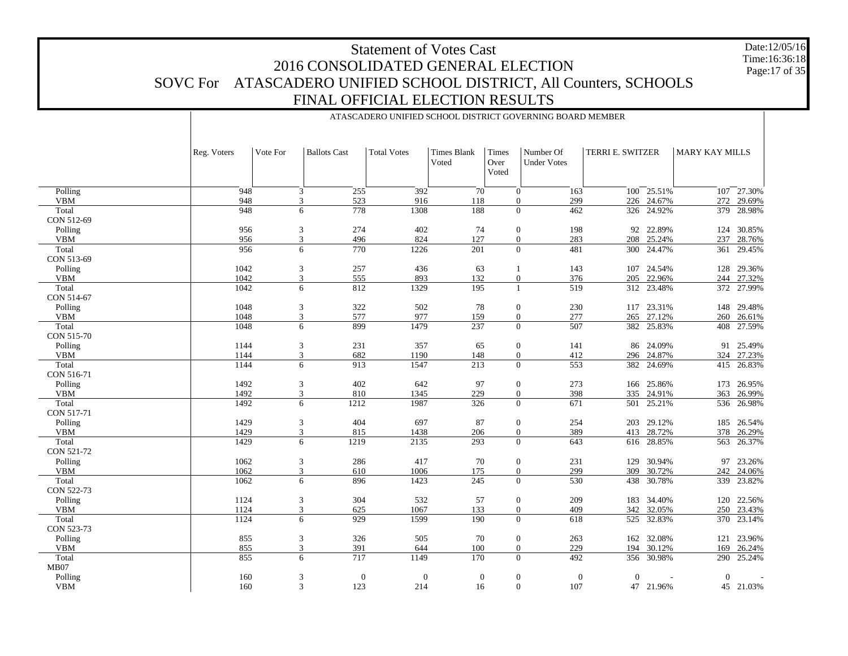Date:12/05/16 Time:16:36:18Page:17 of 35

|                     |              |          |                       | ATASCADERO UNIFIED SCHOOL DISTRICT GOVERNING BOARD MEMBER |                      |                        |                                  |                  |            |                       |                 |
|---------------------|--------------|----------|-----------------------|-----------------------------------------------------------|----------------------|------------------------|----------------------------------|------------------|------------|-----------------------|-----------------|
|                     | Reg. Voters  | Vote For | <b>Ballots Cast</b>   | <b>Total Votes</b>                                        | Times Blank<br>Voted | Times<br>Over<br>Voted | Number Of<br><b>Under Votes</b>  | TERRI E. SWITZER |            | <b>MARY KAY MILLS</b> |                 |
| Polling             | 948          |          | 3<br>255              | 392                                                       | 70                   |                        | $\mathbf{0}$<br>163              | 100              | 25.51%     |                       | $107 - 27.30\%$ |
| <b>VBM</b>          | 948          |          | 3<br>523              | 916                                                       | 118                  |                        | $\mathbf{0}$<br>299              | 226              | 24.67%     | 272                   | 29.69%          |
| Total               | 948          |          | 778<br>6              | 1308                                                      | 188                  |                        | $\mathbf{0}$<br>462              |                  | 326 24.92% | 379                   | 28.98%          |
| CON 512-69          |              |          |                       |                                                           |                      |                        |                                  |                  |            |                       |                 |
| Polling             | 956          |          | 3<br>274              | 402                                                       | 74                   |                        | $\mathbf{0}$<br>198              | 92               | 22.89%     | 124                   | 30.85%          |
| <b>VBM</b>          | 956          |          | $\overline{3}$<br>496 | 824                                                       | 127                  |                        | $\mathbf{0}$<br>283              | 208              | 25.24%     | 237                   | 28.76%          |
| Total               | 956          |          | 770<br>6              | 1226                                                      | 201                  |                        | $\Omega$<br>481                  |                  | 300 24.47% | 361                   | 29.45%          |
| CON 513-69          |              |          |                       |                                                           |                      |                        |                                  |                  |            |                       |                 |
| Polling             | 1042         |          | 3<br>257              | 436                                                       | 63                   |                        | 143<br>-1                        | 107              | 24.54%     |                       | 128 29.36%      |
| <b>VBM</b>          | 1042         |          | 3<br>555              | 893                                                       | 132                  |                        | $\mathbf{0}$<br>376              | 205              | 22.96%     | 244                   | 27.32%          |
| Total               | 1042         |          | 6<br>812              | 1329                                                      | 195                  |                        | 519<br>1                         |                  | 312 23.48% |                       | 372 27.99%      |
| CON 514-67          |              |          |                       |                                                           |                      |                        |                                  |                  |            |                       |                 |
| Polling             | 1048         |          | 322<br>3              | 502                                                       | 78                   |                        | $\mathbf{0}$<br>230              | 117              | 23.31%     |                       | 148 29.48%      |
| <b>VBM</b>          | 1048         |          | 3<br>577              | 977                                                       | 159                  |                        | $\mathbf{0}$<br>277              | 265              | 27.12%     | 260                   | 26.61%          |
| Total               | 1048         |          | 899<br>6              | 1479                                                      | 237                  |                        | $\Omega$<br>507                  |                  | 382 25.83% | 408                   | 27.59%          |
| CON 515-70          |              |          |                       |                                                           |                      |                        |                                  |                  |            |                       |                 |
| Polling             | 1144         |          | 3<br>231              | 357                                                       | 65                   |                        | $\mathbf{0}$<br>141              |                  | 86 24.09%  |                       | 91 25.49%       |
| <b>VBM</b>          | 1144         |          | 3<br>682              | 1190                                                      | 148                  |                        | $\mathbf{0}$<br>412              | 296              | 24.87%     | 324                   | 27.23%          |
| Total               | 1144         |          | 6<br>913              | 1547                                                      | 213                  |                        | $\Omega$<br>553                  | 382              | 24.69%     |                       | 415 26.83%      |
| CON 516-71          |              |          |                       |                                                           |                      |                        |                                  |                  |            |                       |                 |
| Polling             | 1492         |          | 402<br>3              | 642                                                       | 97                   |                        | $\mathbf{0}$<br>273              |                  | 166 25.86% |                       | 173 26.95%      |
| <b>VBM</b><br>Total | 1492<br>1492 |          | 3<br>810<br>1212<br>6 | 1345<br>1987                                              | 229<br>326           |                        | $\mathbf{0}$<br>398<br>$\Omega$  | 335              | 24.91%     | 363                   | 26.99%          |
| CON 517-71          |              |          |                       |                                                           |                      |                        | 671                              |                  | 501 25.21% | 536                   | 26.98%          |
| Polling             | 1429         |          | 404<br>3              | 697                                                       | 87                   |                        | $\mathbf{0}$<br>254              | 203              | 29.12%     |                       | 185 26.54%      |
| <b>VBM</b>          | 1429         |          | 3<br>815              | 1438                                                      | 206                  |                        | $\mathbf{0}$<br>389              | 413              | 28.72%     | 378                   | 26.29%          |
| Total               | 1429         |          | 6<br>1219             | 2135                                                      | 293                  |                        | $\Omega$<br>643                  | 616              | 28.85%     |                       | 563 26.37%      |
| CON 521-72          |              |          |                       |                                                           |                      |                        |                                  |                  |            |                       |                 |
| Polling             | 1062         |          | 3<br>286              | 417                                                       | 70                   |                        | $\mathbf{0}$<br>231              | 129              | 30.94%     |                       | 97 23.26%       |
| <b>VBM</b>          | 1062         |          | 3<br>610              | 1006                                                      | 175                  |                        | 299<br>$\mathbf{0}$              | 309              | 30.72%     | 242                   | 24.06%          |
| Total               | 1062         |          | 6<br>896              | 1423                                                      | 245                  |                        | $\theta$<br>530                  | 438              | 30.78%     |                       | 339 23.82%      |
| CON 522-73          |              |          |                       |                                                           |                      |                        |                                  |                  |            |                       |                 |
| Polling             | 1124         |          | 304<br>3              | 532                                                       | 57                   |                        | $\mathbf{0}$<br>209              | 183              | 34.40%     | 120                   | 22.56%          |
| <b>VBM</b>          | 1124         |          | 3<br>625              | 1067                                                      | 133                  |                        | $\mathbf{0}$<br>409              | 342              | 32.05%     | 250                   | 23.43%          |
| Total               | 1124         |          | 929<br>6              | 1599                                                      | 190                  |                        | $\mathbf{0}$<br>618              | 525              | 32.83%     | 370                   | 23.14%          |
| CON 523-73          |              |          |                       |                                                           |                      |                        |                                  |                  |            |                       |                 |
| Polling             | 855          |          | 3<br>326              | 505                                                       | 70                   |                        | $\mathbf{0}$<br>263              |                  | 162 32.08% | 121                   | 23.96%          |
| <b>VBM</b>          | 855          |          | $\overline{3}$<br>391 | 644                                                       | 100                  |                        | 229<br>$\mathbf{0}$              | 194              | 30.12%     | 169                   | 26.24%          |
| Total               | 855          |          | 6<br>717              | 1149                                                      | 170                  |                        | $\theta$<br>492                  | 356              | 30.98%     | 290                   | 25.24%          |
| MB07                |              |          |                       |                                                           |                      |                        |                                  |                  |            |                       |                 |
| Polling             | 160          |          | 3                     | $\boldsymbol{0}$<br>$\theta$                              | $\mathbf{0}$         |                        | $\mathbf{0}$<br>$\boldsymbol{0}$ | $\theta$         |            | $\overline{0}$        |                 |
| <b>VBM</b>          | 160          |          | 123<br>3              | 214                                                       | 16                   |                        | 107<br>$\mathbf{0}$              |                  | 47 21.96%  |                       | 45 21.03%       |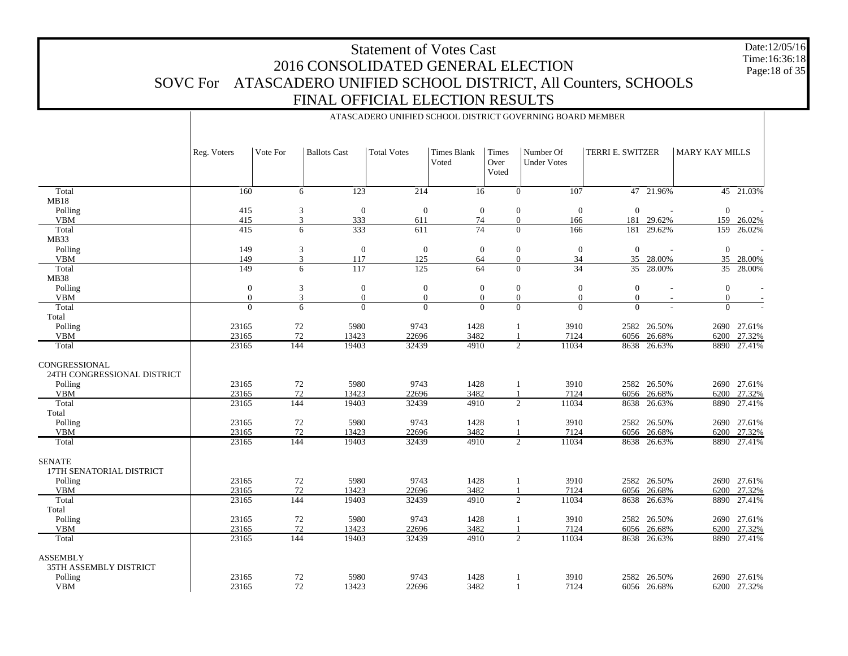Date:12/05/16 Time:16:36:18 Page:18 of 35

|                                                                    |                  | ATASCADERO UNIFIED SCHOOL DISTRICT GOVERNING BOARD MEMBER |                         |                         |                             |                              |                                                            |                  |                       |                       |                            |  |  |  |
|--------------------------------------------------------------------|------------------|-----------------------------------------------------------|-------------------------|-------------------------|-----------------------------|------------------------------|------------------------------------------------------------|------------------|-----------------------|-----------------------|----------------------------|--|--|--|
|                                                                    | Reg. Voters      | Vote For                                                  | <b>Ballots Cast</b>     | <b>Total Votes</b>      | <b>Times Blank</b><br>Voted | Times<br>Over<br>Voted       | Number Of<br><b>Under Votes</b>                            | TERRI E. SWITZER |                       | <b>MARY KAY MILLS</b> |                            |  |  |  |
| Total                                                              | $\overline{160}$ | 6                                                         | $\overline{123}$        | $\sqrt{214}$            | 16                          |                              | $\overline{0}$<br>$\overline{107}$                         |                  | 47 21.96%             |                       | 45 21.03%                  |  |  |  |
| MB18                                                               |                  |                                                           |                         |                         |                             |                              |                                                            |                  |                       |                       |                            |  |  |  |
| Polling                                                            | 415              | 3                                                         | $\boldsymbol{0}$        | $\boldsymbol{0}$        | $\boldsymbol{0}$            |                              | $\boldsymbol{0}$<br>$\mathbf{0}$                           | $\boldsymbol{0}$ |                       | $\mathbf{0}$          |                            |  |  |  |
| <b>VBM</b>                                                         | 415              | 3                                                         | 333                     | 611                     | 74                          |                              | $\boldsymbol{0}$<br>166                                    | 181              | 29.62%                | 159                   | 26.02%                     |  |  |  |
| Total                                                              | 415              | 6                                                         | 333                     | 611                     | $\overline{74}$             |                              | $\Omega$<br>166                                            | 181              | 29.62%                | 159                   | 26.02%                     |  |  |  |
| MB33                                                               |                  |                                                           |                         |                         |                             |                              |                                                            |                  |                       |                       |                            |  |  |  |
| Polling<br><b>VBM</b>                                              | 149<br>149       | 3<br>3                                                    | $\boldsymbol{0}$<br>117 | $\boldsymbol{0}$<br>125 | $\mathbf{0}$<br>64          |                              | $\boldsymbol{0}$<br>$\mathbf{0}$<br>34<br>$\boldsymbol{0}$ | $\mathbf{0}$     | 35 28.00%             | $\mathbf{0}$<br>35    | 28.00%                     |  |  |  |
| Total                                                              | 149              | 6                                                         | 117                     | 125                     | 64                          |                              | $\frac{1}{34}$<br>$\Omega$                                 | $\overline{35}$  | 28.00%                | $\overline{35}$       | 28.00%                     |  |  |  |
| <b>MB38</b>                                                        |                  |                                                           |                         |                         |                             |                              |                                                            |                  |                       |                       |                            |  |  |  |
| Polling                                                            | $\boldsymbol{0}$ | 3                                                         | $\boldsymbol{0}$        | $\boldsymbol{0}$        | $\boldsymbol{0}$            |                              | $\boldsymbol{0}$<br>$\mathbf{0}$                           | $\mathbf{0}$     |                       | $\mathbf{0}$          |                            |  |  |  |
| <b>VBM</b>                                                         | $\overline{0}$   | 3                                                         | $\mathbf{0}$            | $\overline{0}$          | $\mathbf{0}$                |                              | $\overline{0}$<br>$\overline{0}$                           | $\mathbf{0}$     |                       | $\mathbf{0}$          |                            |  |  |  |
| Total                                                              | $\overline{0}$   | 6                                                         | $\Omega$                | $\overline{0}$          | $\Omega$                    |                              | $\Omega$<br>$\Omega$                                       | $\Omega$         |                       | $\overline{0}$        |                            |  |  |  |
| Total                                                              |                  |                                                           |                         |                         |                             |                              |                                                            |                  |                       |                       |                            |  |  |  |
| Polling                                                            | 23165            | 72                                                        | 5980                    | 9743                    | 1428                        |                              | 3910<br>1                                                  |                  | 2582 26.50%           |                       | 2690 27.61%                |  |  |  |
| <b>VBM</b>                                                         | 23165            | 72                                                        | 13423                   | 22696                   | 3482                        |                              | 7124                                                       |                  | 6056 26.68%           | 6200                  | 27.32%                     |  |  |  |
| Total                                                              | 23165            | 144                                                       | 19403                   | 32439                   | 4910                        |                              | $\overline{2}$<br>11034                                    | 8638             | 26.63%                | 8890                  | 27.41%                     |  |  |  |
| CONGRESSIONAL<br>24TH CONGRESSIONAL DISTRICT                       |                  |                                                           |                         |                         |                             |                              |                                                            |                  |                       |                       |                            |  |  |  |
| Polling                                                            | 23165            | $72\,$                                                    | 5980                    | 9743                    | 1428                        | -1                           | 3910                                                       |                  | 2582 26.50%           |                       | 2690 27.61%                |  |  |  |
| <b>VBM</b>                                                         | 23165            | 72                                                        | 13423                   | 22696                   | 3482                        |                              | 7124                                                       | 6056             | 26.68%                | 6200                  | 27.32%                     |  |  |  |
| Total<br>Total                                                     | 23165            | 144                                                       | 19403                   | 32439                   | 4910                        |                              | $\overline{2}$<br>11034                                    | 8638             | 26.63%                | 8890                  | 27.41%                     |  |  |  |
| Polling                                                            | 23165            | $72\,$                                                    | 5980                    | 9743                    | 1428                        |                              | 3910<br>1                                                  |                  | 2582 26.50%           |                       | 2690 27.61%                |  |  |  |
| <b>VBM</b>                                                         | 23165            | 72                                                        | 13423                   | 22696                   | 3482                        |                              | 7124                                                       | 6056             | 26.68%                | 6200                  | 27.32%                     |  |  |  |
| Total                                                              | 23165            | 144                                                       | 19403                   | 32439                   | 4910                        |                              | $\overline{2}$<br>11034                                    |                  | 8638 26.63%           |                       | 8890 27.41%                |  |  |  |
| <b>SENATE</b><br>17TH SENATORIAL DISTRICT                          |                  |                                                           |                         |                         |                             |                              |                                                            |                  |                       |                       |                            |  |  |  |
| Polling<br><b>VBM</b>                                              | 23165<br>23165   | 72<br>72                                                  | 5980<br>13423           | 9743<br>22696           | 1428<br>3482                | $\mathbf{1}$<br>$\mathbf{1}$ | 3910<br>7124                                               | 6056             | 2582 26.50%<br>26.68% | 6200                  | 2690 27.61%                |  |  |  |
| Total                                                              | 23165            | 144                                                       | 19403                   | 32439                   | 4910                        |                              | $\overline{2}$<br>11034                                    | 8638             | 26.63%                | 8890                  | 27.32%<br>27.41%           |  |  |  |
| Total                                                              |                  |                                                           |                         |                         |                             |                              |                                                            |                  |                       |                       |                            |  |  |  |
| Polling                                                            | 23165            | 72                                                        | 5980                    | 9743                    | 1428                        |                              | 3910<br>1                                                  |                  | 2582 26.50%           |                       | 2690 27.61%                |  |  |  |
| <b>VBM</b>                                                         | 23165            | 72                                                        | 13423                   | 22696                   | 3482                        |                              | 7124                                                       | 6056             | 26.68%                | 6200                  | 27.32%                     |  |  |  |
| Total                                                              | 23165            | 144                                                       | 19403                   | 32439                   | 4910                        |                              | $\overline{2}$<br>11034                                    | 8638             | 26.63%                | 8890                  | 27.41%                     |  |  |  |
| <b>ASSEMBLY</b><br>35TH ASSEMBLY DISTRICT<br>Polling<br><b>VBM</b> | 23165<br>23165   | $72\,$<br>72                                              | 5980<br>13423           | 9743<br>22696           | 1428<br>3482                |                              | 3910<br>$\mathbf{1}$<br>7124                               | 2582             | 26.50%<br>6056 26.68% |                       | 2690 27.61%<br>6200 27.32% |  |  |  |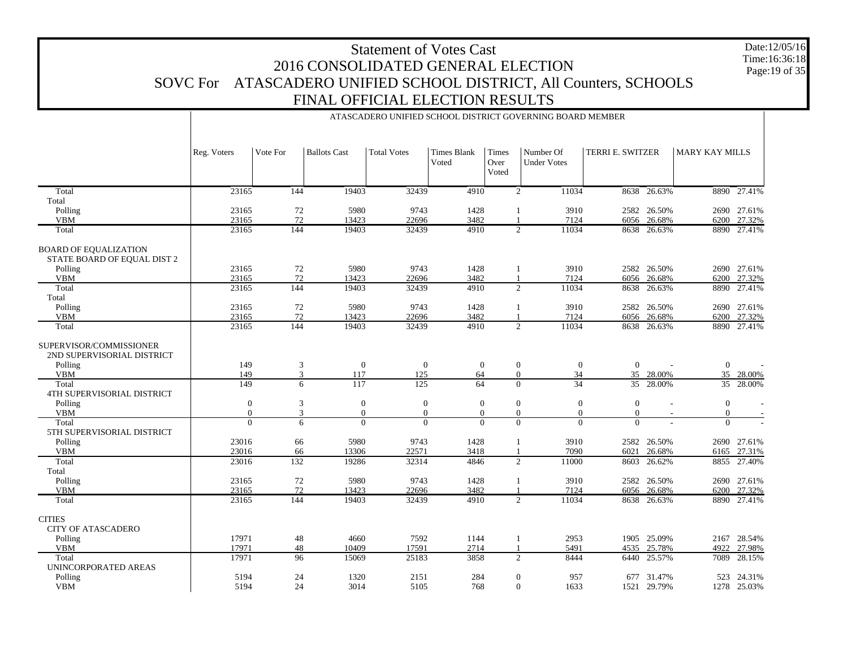Date:12/05/16 Time:16:36:18 Page:19 of 35

|                                                                        | ATASCADERO UNIFIED SCHOOL DISTRICT GOVERNING BOARD MEMBER |           |                     |                    |                             |                              |                                  |                  |                       |                       |                  |  |  |  |
|------------------------------------------------------------------------|-----------------------------------------------------------|-----------|---------------------|--------------------|-----------------------------|------------------------------|----------------------------------|------------------|-----------------------|-----------------------|------------------|--|--|--|
|                                                                        | Reg. Voters                                               | Vote For  | <b>Ballots Cast</b> | <b>Total Votes</b> | <b>Times Blank</b><br>Voted | Times<br>Over<br>Voted       | Number Of<br><b>Under Votes</b>  | TERRI E. SWITZER |                       | <b>MARY KAY MILLS</b> |                  |  |  |  |
| Total                                                                  | 23165                                                     | 144       | 19403               | 32439              | 4910                        |                              | $\overline{2}$<br>11034          |                  | 8638 26.63%           |                       | 8890 27.41%      |  |  |  |
| Total                                                                  |                                                           |           |                     |                    |                             |                              |                                  |                  |                       |                       |                  |  |  |  |
| Polling                                                                | 23165                                                     | 72        | 5980                | 9743               | 1428                        | 1                            | 3910                             |                  | 2582 26.50%           |                       | 2690 27.61%      |  |  |  |
| <b>VBM</b>                                                             | 23165                                                     | 72        | 13423               | 22696              | 3482                        | $\mathbf{1}$                 | 7124                             |                  | 6056 26.68%           | 6200                  | 27.32%           |  |  |  |
| Total                                                                  | 23165                                                     | 144       | 19403               | 32439              | 4910                        |                              | 2<br>11034                       |                  | 8638 26.63%           | 8890                  | 27.41%           |  |  |  |
| <b>BOARD OF EQUALIZATION</b><br>STATE BOARD OF EQUAL DIST 2<br>Polling | 23165                                                     | 72        | 5980                | 9743               | 1428                        |                              | 3910                             |                  | 2582 26.50%           |                       | 2690 27.61%      |  |  |  |
| <b>VBM</b>                                                             | 23165                                                     | 72        | 13423               | 22696              | 3482                        | $\mathbf{1}$<br>$\mathbf{1}$ | 7124                             |                  | 6056 26.68%           | 6200                  | 27.32%           |  |  |  |
| Total                                                                  | 23165                                                     | 144       | 19403               | 32439              | 4910                        |                              | 2<br>11034                       |                  | 8638 26.63%           | 8890                  | 27.41%           |  |  |  |
| Total                                                                  |                                                           |           |                     |                    |                             |                              |                                  |                  |                       |                       |                  |  |  |  |
| Polling                                                                | 23165                                                     | 72        | 5980                | 9743               | 1428                        | -1                           | 3910                             |                  | 2582 26.50%           |                       | 2690 27.61%      |  |  |  |
| <b>VBM</b>                                                             | 23165                                                     | 72        | 13423               | 22696              | 3482                        | $\mathbf{1}$                 | 7124                             |                  | 6056 26.68%           | 6200                  | 27.32%           |  |  |  |
| Total                                                                  | 23165                                                     | 144       | 19403               | 32439              | 4910                        |                              | $\overline{2}$<br>11034          |                  | 8638 26.63%           | 8890                  | 27.41%           |  |  |  |
| SUPERVISOR/COMMISSIONER<br>2ND SUPERVISORIAL DISTRICT<br>Polling       | 149                                                       | 3         | $\mathbf{0}$        | $\mathbf{0}$       | $\mathbf{0}$                |                              | $\boldsymbol{0}$<br>$\mathbf{0}$ | $\boldsymbol{0}$ |                       | $\boldsymbol{0}$      |                  |  |  |  |
| <b>VBM</b>                                                             | 149                                                       | 3         | 117                 | 125                | 64                          |                              | $\boldsymbol{0}$<br>34           | 35               | 28.00%                |                       | 35 28.00%        |  |  |  |
| Total                                                                  | 149                                                       | 6         | 117                 | 125                | 64                          |                              | $\overline{34}$<br>$\Omega$      |                  | 35 28.00%             |                       | 35 28.00%        |  |  |  |
| <b>4TH SUPERVISORIAL DISTRICT</b>                                      |                                                           |           |                     |                    |                             |                              |                                  |                  |                       |                       |                  |  |  |  |
| Polling                                                                | $\boldsymbol{0}$                                          | 3         | $\mathbf{0}$        | $\boldsymbol{0}$   | $\mathbf{0}$                | $\boldsymbol{0}$             | $\boldsymbol{0}$                 | $\overline{0}$   |                       | $\boldsymbol{0}$      |                  |  |  |  |
| <b>VBM</b>                                                             | $\overline{0}$                                            | 3         | $\mathbf{0}$        | $\mathbf{0}$       | $\mathbf{0}$                |                              | $\overline{0}$<br>$\mathbf{0}$   | $\mathbf{0}$     |                       | $\overline{0}$        |                  |  |  |  |
| Total<br>5TH SUPERVISORIAL DISTRICT                                    | $\overline{0}$                                            | 6         | $\Omega$            | $\Omega$           | $\Omega$                    | $\Omega$                     | $\overline{0}$                   | $\Omega$         |                       | $\Omega$              |                  |  |  |  |
| Polling                                                                | 23016                                                     | 66        | 5980                | 9743               | 1428                        | 1                            | 3910                             |                  | 2582 26.50%           |                       | 2690 27.61%      |  |  |  |
| <b>VBM</b>                                                             | 23016                                                     | 66        | 13306               | 22571              | 3418                        |                              | 7090                             | 6021             | 26.68%                | 6165                  | 27.31%           |  |  |  |
| Total                                                                  | 23016                                                     | 132       | 19286               | 32314              | 4846                        |                              | $\overline{2}$<br>11000          | 8603             | 26.62%                |                       | 8855 27.40%      |  |  |  |
| Total                                                                  |                                                           |           |                     |                    |                             |                              |                                  |                  |                       |                       |                  |  |  |  |
| Polling                                                                | 23165<br>23165                                            | $72\,$    | 5980<br>13423       | 9743<br>22696      | 1428<br>3482                | -1                           | 3910<br>7124                     |                  | 2582 26.50%           |                       | 2690 27.61%      |  |  |  |
| <b>VBM</b><br>Total                                                    | 23165                                                     | 72<br>144 | 19403               | 32439              | 4910                        |                              | $\overline{2}$<br>11034          | 8638             | 6056 26.68%<br>26.63% | 6200<br>8890          | 27.32%<br>27.41% |  |  |  |
|                                                                        |                                                           |           |                     |                    |                             |                              |                                  |                  |                       |                       |                  |  |  |  |
| <b>CITIES</b><br><b>CITY OF ATASCADERO</b>                             |                                                           |           |                     |                    |                             |                              |                                  |                  |                       |                       |                  |  |  |  |
| Polling                                                                | 17971                                                     | 48        | 4660                | 7592               | 1144                        | $\mathbf{1}$                 | 2953                             |                  | 1905 25.09%           |                       | 2167 28.54%      |  |  |  |
| <b>VBM</b>                                                             | 17971                                                     | 48        | 10409               | 17591              | 2714                        |                              | 5491                             | 4535             | 25.78%                | 4922                  | 27.98%           |  |  |  |
| Total<br>UNINCORPORATED AREAS                                          | 17971                                                     | 96        | 15069               | 25183              | 3858                        |                              | 2<br>8444                        | 6440             | 25.57%                | 7089                  | 28.15%           |  |  |  |
| Polling                                                                | 5194                                                      | 24        | 1320                | 2151               | 284                         | $\mathbf{0}$                 | 957                              | 677              | 31.47%                |                       | 523 24.31%       |  |  |  |
| <b>VBM</b>                                                             | 5194                                                      | 24        | 3014                | 5105               | 768                         |                              | $\mathbf{0}$<br>1633             | 1521             | 29.79%                |                       | 1278 25.03%      |  |  |  |
|                                                                        |                                                           |           |                     |                    |                             |                              |                                  |                  |                       |                       |                  |  |  |  |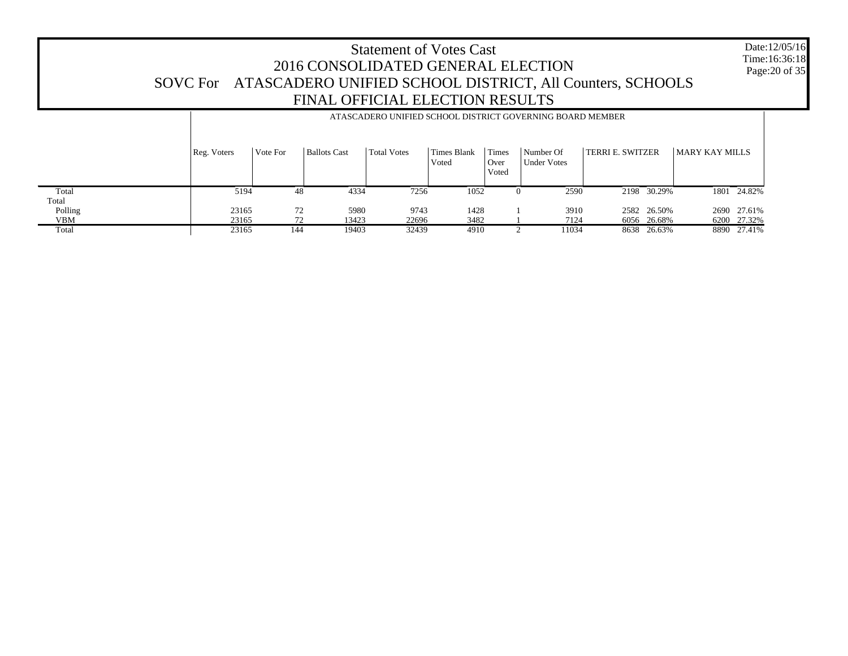Date:12/05/16 Time:16:36:18Page:20 of 35

 Total Total Polling VBM**Total** Reg. Voters | Vote For | Ballots Cast | Total Votes | Times Blank VotedTimes Over VotedNumber Of Under VotesTERRI E. SWITZER MARY KAY MILLS ATASCADERO UNIFIED SCHOOL DISTRICT GOVERNING BOARD MEMBER 5194 48 4334 7256 1052 0 2590 2198 30.29% 1801 24.82% 23165 72 5980 9743 1428 1 3910 2582 26.50% 2690 27.61% 23165 72 13423 22696 3482 1 7124 6056 26.68% 6200 27.32% 2316519403 32439 4910 2 11034 8638 26.63% 8890 27.41%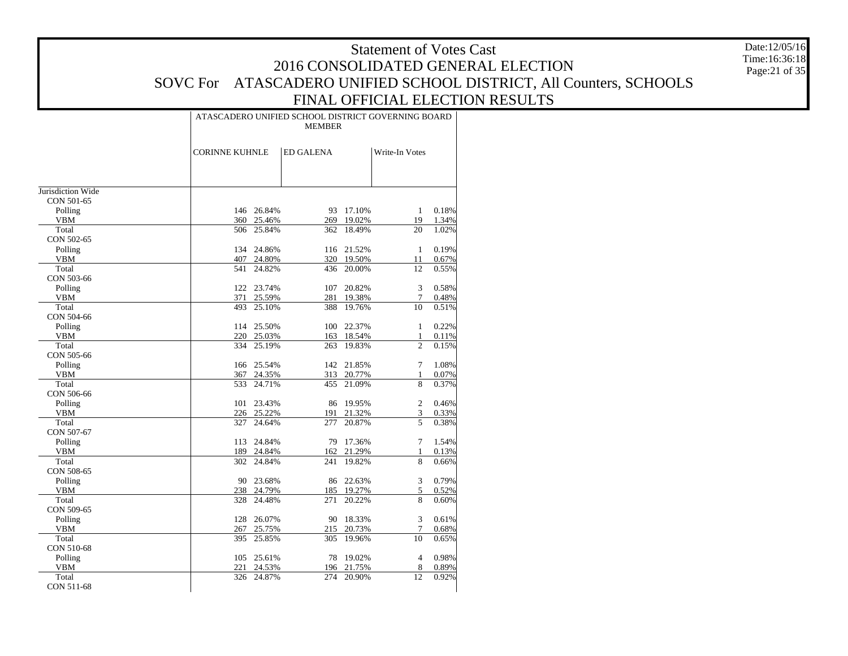Date:12/05/16 Time:16:36:18 Page:21 of 35

|                       |                       |            | ATASCADERO UNIFIED SCHOOL DISTRICT GOVERNING BOARD<br><b>MEMBER</b> |            |                |                |
|-----------------------|-----------------------|------------|---------------------------------------------------------------------|------------|----------------|----------------|
|                       | <b>CORINNE KUHNLE</b> |            | <b>ED GALENA</b>                                                    |            | Write-In Votes |                |
|                       |                       |            |                                                                     |            |                |                |
| Jurisdiction Wide     |                       |            |                                                                     |            |                |                |
| CON 501-65            |                       | 146 26.84% | 93                                                                  | 17.10%     | $\mathbf{1}$   |                |
| Polling<br><b>VBM</b> |                       | 360 25.46% | 269                                                                 | 19.02%     | 19             | 0.18%<br>1.34% |
| Total                 | 506                   | 25.84%     | 362                                                                 | 18.49%     | 20             | 1.02%          |
| CON 502-65            |                       |            |                                                                     |            |                |                |
| Polling               |                       | 134 24.86% | 116                                                                 | 21.52%     | $\mathbf{1}$   | 0.19%          |
| <b>VBM</b>            |                       | 407 24.80% |                                                                     | 320 19.50% | 11             | 0.67%          |
| Total                 | 541                   | 24.82%     | 436                                                                 | 20.00%     | 12             | 0.55%          |
| CON 503-66            |                       |            |                                                                     |            |                |                |
| Polling               |                       | 122 23.74% | 107                                                                 | 20.82%     | 3              | 0.58%          |
| <b>VBM</b>            | 371                   | 25.59%     | 281                                                                 | 19.38%     | 7              | 0.48%          |
| Total                 | 493                   | 25.10%     | 388                                                                 | 19.76%     | 10             | 0.51%          |
| CON 504-66            |                       |            |                                                                     |            |                |                |
| Polling               |                       | 114 25.50% | 100                                                                 | 22.37%     | $\mathbf{1}$   | 0.22%          |
| <b>VBM</b>            |                       | 220 25.03% | 163                                                                 | 18.54%     | $\mathbf{1}$   | 0.11%          |
| Total                 | 334                   | 25.19%     | 263                                                                 | 19.83%     | $\overline{c}$ | 0.15%          |
| CON 505-66            |                       |            |                                                                     |            |                |                |
| Polling               |                       | 166 25.54% | 142                                                                 | 21.85%     | 7              | 1.08%          |
| VBM                   | 367                   | 24.35%     |                                                                     | 313 20.77% | 1              | 0.07%          |
| Total                 | 533                   | 24.71%     | 455                                                                 | 21.09%     | 8              | 0.37%          |
| CON 506-66            |                       |            |                                                                     |            |                |                |
| Polling               | 101                   | 23.43%     | 86                                                                  | 19.95%     | 2              | 0.46%          |
| <b>VBM</b>            |                       | 226 25.22% | 191                                                                 | 21.32%     | 3              | 0.33%          |
| Total                 | 327                   | 24.64%     | 277                                                                 | 20.87%     | 5              | 0.38%          |
| CON 507-67            |                       |            |                                                                     |            |                |                |
| Polling               | 113                   | 24.84%     | 79                                                                  | 17.36%     | 7              | 1.54%          |
| <b>VBM</b>            |                       | 189 24.84% | 162                                                                 | 21.29%     | $\mathbf{1}$   | 0.13%          |
| Total                 | 302                   | 24.84%     | 241                                                                 | 19.82%     | 8              | 0.66%          |
| CON 508-65            |                       |            |                                                                     |            |                |                |
| Polling               |                       | 90 23.68%  | 86                                                                  | 22.63%     | 3              | 0.79%          |
| <b>VBM</b>            | 238                   | 24.79%     | 185                                                                 | 19.27%     | 5              | 0.52%          |
| Total                 | 328                   | 24.48%     | 271                                                                 | 20.22%     | 8              | 0.60%          |
| CON 509-65            |                       |            |                                                                     |            |                |                |
| Polling               | 128                   | 26.07%     | 90                                                                  | 18.33%     | 3              | 0.61%          |
| <b>VBM</b>            | 267                   | 25.75%     | 215                                                                 | 20.73%     | 7              | 0.68%          |
| Total                 | 395                   | 25.85%     | 305                                                                 | 19.96%     | 10             | 0.65%          |
| CON 510-68            |                       |            |                                                                     |            |                |                |
| Polling               | 105                   | 25.61%     | 78                                                                  | 19.02%     | $\overline{4}$ | 0.98%          |
| <b>VBM</b>            | 221                   | 24.53%     | 196                                                                 | 21.75%     | 8              | 0.89%          |
| Total                 | 326                   | 24.87%     | 274                                                                 | 20.90%     | 12             | 0.92%          |
| CON 511-68            |                       |            |                                                                     |            |                |                |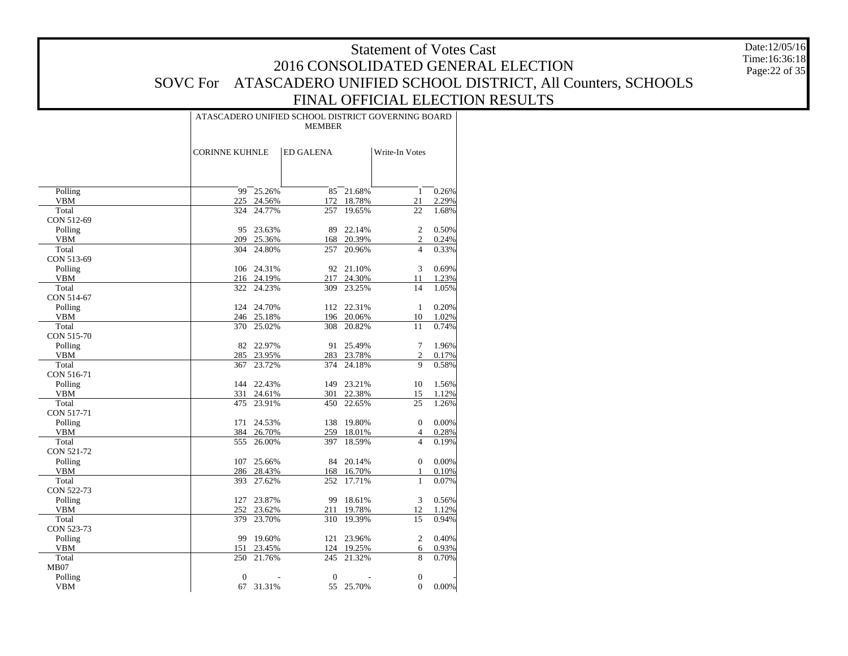Date:12/05/16 Time:16:36:18 Page:22 of 35

|                       |                       |            | ATASCADERO UNIFIED SCHOOL DISTRICT GOVERNING BOARD<br><b>MEMBER</b> |            |                                  |       |
|-----------------------|-----------------------|------------|---------------------------------------------------------------------|------------|----------------------------------|-------|
|                       | <b>CORINNE KUHNLE</b> |            | <b>ED GALENA</b>                                                    |            | Write-In Votes                   |       |
|                       |                       |            |                                                                     |            |                                  |       |
| Polling               | 99                    | 25.26%     | 85                                                                  | 21.68%     | $\mathbf{1}$                     | 0.26% |
| <b>VBM</b>            | 225                   | 24.56%     | 172                                                                 | 18.78%     | 21                               | 2.29% |
| Total                 | 324                   | 24.77%     | 257                                                                 | 19.65%     | 22                               | 1.68% |
| CON 512-69            |                       |            |                                                                     |            |                                  |       |
| Polling               | 95                    | 23.63%     | 89                                                                  | 22.14%     | $\overline{c}$                   | 0.50% |
| <b>VBM</b>            | 209                   | 25.36%     | 168                                                                 | 20.39%     | $\mathfrak{2}$<br>$\overline{4}$ | 0.24% |
| Total                 | 304                   | 24.80%     | 257                                                                 | 20.96%     |                                  | 0.33% |
| CON 513-69<br>Polling |                       | 106 24.31% |                                                                     | 92 21.10%  | 3                                | 0.69% |
| <b>VBM</b>            |                       | 216 24.19% | 217                                                                 | 24.30%     | 11                               | 1.23% |
| Total                 |                       | 322 24.23% | 309                                                                 | 23.25%     | 14                               | 1.05% |
| CON 514-67            |                       |            |                                                                     |            |                                  |       |
| Polling               |                       | 124 24.70% |                                                                     | 112 22.31% | $\mathbf{1}$                     | 0.20% |
| VBM                   |                       | 246 25.18% | 196                                                                 | 20.06%     | 10                               | 1.02% |
| Total                 | 370                   | 25.02%     | 308                                                                 | 20.82%     | 11                               | 0.74% |
| CON 515-70            |                       |            |                                                                     |            |                                  |       |
| Polling               | 82                    | 22.97%     | 91                                                                  | 25.49%     | $\tau$                           | 1.96% |
| <b>VBM</b>            | 285                   | 23.95%     | 283                                                                 | 23.78%     | $\mathfrak{2}$                   | 0.17% |
| Total                 | 367                   | 23.72%     | 374                                                                 | 24.18%     | 9                                | 0.58% |
| CON 516-71            |                       |            |                                                                     |            |                                  |       |
| Polling               |                       | 144 22.43% |                                                                     | 149 23.21% | 10                               | 1.56% |
| <b>VBM</b>            | 331                   | 24.61%     | 301                                                                 | 22.38%     | 15                               | 1.12% |
| Total                 | 475                   | 23.91%     | 450                                                                 | 22.65%     | 25                               | 1.26% |
| CON 517-71            |                       |            |                                                                     |            |                                  |       |
| Polling               | 171                   | 24.53%     |                                                                     | 138 19.80% | $\boldsymbol{0}$                 | 0.00% |
| <b>VBM</b>            |                       | 384 26.70% |                                                                     | 259 18.01% | $\overline{4}$                   | 0.28% |
| Total                 | 555                   | 26.00%     | 397                                                                 | 18.59%     | $\overline{4}$                   | 0.19% |
| CON 521-72            |                       |            |                                                                     |            |                                  |       |
| Polling               | 107                   | 25.66%     | 84                                                                  | 20.14%     | $\overline{0}$                   | 0.00% |
| <b>VBM</b>            |                       | 286 28.43% |                                                                     | 168 16.70% | 1                                | 0.10% |
| Total                 | 393                   | 27.62%     | 252                                                                 | 17.71%     | $\mathbf{1}$                     | 0.07% |
| CON 522-73            |                       |            |                                                                     |            |                                  |       |
| Polling               | 127                   | 23.87%     | 99                                                                  | 18.61%     | $\sqrt{3}$                       | 0.56% |
| <b>VBM</b>            | 252                   | 23.62%     |                                                                     | 211 19.78% | 12                               | 1.12% |
| Total                 | 379                   | 23.70%     | 310                                                                 | 19.39%     | 15                               | 0.94% |
| CON 523-73            |                       |            |                                                                     |            |                                  |       |
| Polling               | 99                    | 19.60%     | 121                                                                 | 23.96%     | 2                                | 0.40% |
| <b>VBM</b>            | 151                   | 23.45%     |                                                                     | 124 19.25% | 6                                | 0.93% |
| Total                 | 250                   | 21.76%     | 245                                                                 | 21.32%     | 8                                | 0.70% |
| MB07                  |                       |            |                                                                     |            |                                  |       |
| Polling               | $\mathbf{0}$          |            | $\mathbf{0}$                                                        |            | $\mathbf{0}$                     |       |
| <b>VBM</b>            | 67                    | 31.31%     |                                                                     | 55 25.70%  | $\mathbf{0}$                     | 0.00% |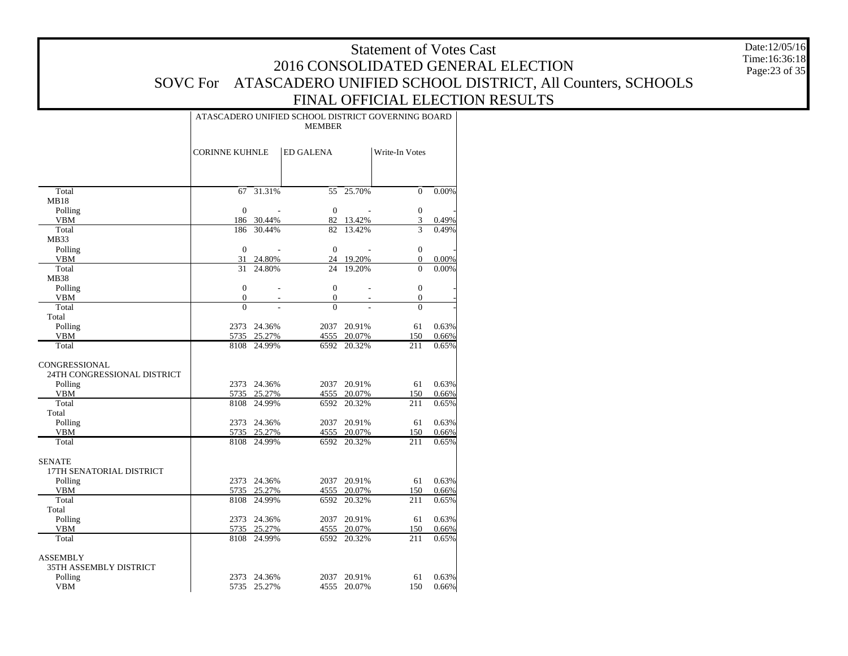Date:12/05/16 Time:16:36:18 Page:23 of 35

|                             | ATASCADERO UNIFIED SCHOOL DISTRICT GOVERNING BOARD<br><b>MEMBER</b> |                            |                  |                            |                                |                |  |  |  |  |  |  |  |
|-----------------------------|---------------------------------------------------------------------|----------------------------|------------------|----------------------------|--------------------------------|----------------|--|--|--|--|--|--|--|
|                             | <b>CORINNE KUHNLE</b>                                               |                            | <b>ED GALENA</b> |                            | Write-In Votes                 |                |  |  |  |  |  |  |  |
| Total                       | 67                                                                  | 31.31%                     | 55               | 25.70%                     | $\mathbf{0}$                   | 0.00%          |  |  |  |  |  |  |  |
| <b>MB18</b>                 |                                                                     |                            |                  |                            |                                |                |  |  |  |  |  |  |  |
| Polling                     | $\mathbf{0}$                                                        |                            | $\boldsymbol{0}$ |                            | $\boldsymbol{0}$               |                |  |  |  |  |  |  |  |
| <b>VBM</b>                  |                                                                     | 186 30.44%                 | 82               | 13.42%                     | 3                              | 0.49%          |  |  |  |  |  |  |  |
| Total                       | 186                                                                 | 30.44%                     | 82               | 13.42%                     | 3                              | 0.49%          |  |  |  |  |  |  |  |
| MB33                        |                                                                     |                            |                  |                            |                                |                |  |  |  |  |  |  |  |
| Polling                     | $\mathbf{0}$                                                        |                            | $\boldsymbol{0}$ |                            | $\boldsymbol{0}$               |                |  |  |  |  |  |  |  |
| <b>VBM</b><br>Total         | 31<br>31                                                            | 24.80%                     | 24<br>24         | 19.20%                     | $\mathbf{0}$<br>$\overline{0}$ | 0.00%          |  |  |  |  |  |  |  |
| <b>MB38</b>                 |                                                                     | 24.80%                     |                  | 19.20%                     |                                | 0.00%          |  |  |  |  |  |  |  |
| Polling                     | $\mathbf{0}$                                                        |                            | $\boldsymbol{0}$ | $\overline{a}$             | $\boldsymbol{0}$               |                |  |  |  |  |  |  |  |
| <b>VBM</b>                  | $\boldsymbol{0}$                                                    |                            | $\mathbf{0}$     | $\overline{a}$             | $\boldsymbol{0}$               |                |  |  |  |  |  |  |  |
| Total                       | $\theta$                                                            |                            | $\theta$         |                            | $\overline{0}$                 |                |  |  |  |  |  |  |  |
| Total                       |                                                                     |                            |                  |                            |                                |                |  |  |  |  |  |  |  |
| Polling                     |                                                                     | 2373 24.36%                | 2037             | 20.91%                     | 61                             | 0.63%          |  |  |  |  |  |  |  |
| <b>VBM</b>                  |                                                                     | 5735 25.27%                |                  | 4555 20.07%                | 150                            | 0.66%          |  |  |  |  |  |  |  |
| Total                       | 8108                                                                | 24.99%                     | 6592             | 20.32%                     | 211                            | 0.65%          |  |  |  |  |  |  |  |
| <b>CONGRESSIONAL</b>        |                                                                     |                            |                  |                            |                                |                |  |  |  |  |  |  |  |
| 24TH CONGRESSIONAL DISTRICT |                                                                     |                            |                  |                            |                                |                |  |  |  |  |  |  |  |
| Polling                     |                                                                     | 2373 24.36%                |                  | 2037 20.91%                | 61                             | 0.63%          |  |  |  |  |  |  |  |
| <b>VBM</b>                  |                                                                     | 5735 25.27%                |                  | 4555 20.07%                | 150                            | 0.66%          |  |  |  |  |  |  |  |
| Total                       | 8108                                                                | 24.99%                     | 6592             | 20.32%                     | 211                            | 0.65%          |  |  |  |  |  |  |  |
| Total                       |                                                                     |                            |                  |                            |                                |                |  |  |  |  |  |  |  |
| Polling                     |                                                                     | 2373 24.36%                | 2037             | 20.91%                     | 61                             | 0.63%          |  |  |  |  |  |  |  |
| <b>VBM</b>                  |                                                                     | 5735 25.27%                |                  | 4555 20.07%                | 150                            | 0.66%          |  |  |  |  |  |  |  |
| Total                       | 8108                                                                | 24.99%                     | 6592             | 20.32%                     | 211                            | 0.65%          |  |  |  |  |  |  |  |
| <b>SENATE</b>               |                                                                     |                            |                  |                            |                                |                |  |  |  |  |  |  |  |
| 17TH SENATORIAL DISTRICT    |                                                                     |                            |                  |                            |                                |                |  |  |  |  |  |  |  |
| Polling<br><b>VBM</b>       |                                                                     | 2373 24.36%<br>5735 25.27% |                  | 2037 20.91%<br>4555 20.07% | 61<br>150                      | 0.63%          |  |  |  |  |  |  |  |
| Total                       | 8108                                                                | 24.99%                     | 6592             | 20.32%                     | 211                            | 0.66%<br>0.65% |  |  |  |  |  |  |  |
| Total                       |                                                                     |                            |                  |                            |                                |                |  |  |  |  |  |  |  |
| Polling                     |                                                                     | 2373 24.36%                | 2037             | 20.91%                     | 61                             | 0.63%          |  |  |  |  |  |  |  |
| <b>VBM</b>                  |                                                                     | 5735 25.27%                |                  | 4555 20.07%                | 150                            | 0.66%          |  |  |  |  |  |  |  |
| Total                       |                                                                     | 8108 24.99%                |                  | 6592 20.32%                | 211                            | 0.65%          |  |  |  |  |  |  |  |
| <b>ASSEMBLY</b>             |                                                                     |                            |                  |                            |                                |                |  |  |  |  |  |  |  |
| 35TH ASSEMBLY DISTRICT      |                                                                     |                            |                  |                            |                                |                |  |  |  |  |  |  |  |
| Polling                     | 2373                                                                | 24.36%                     |                  | 2037 20.91%                | 61                             | 0.63%          |  |  |  |  |  |  |  |
| <b>VBM</b>                  |                                                                     | 5735 25.27%                |                  | 4555 20.07%                | 150                            | 0.66%          |  |  |  |  |  |  |  |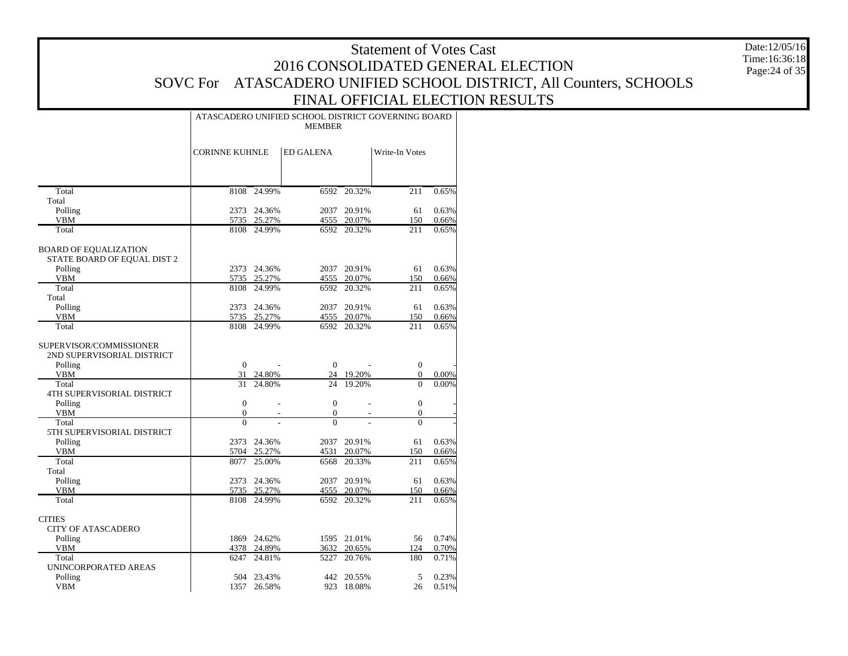Date:12/05/16 Time:16:36:18 Page:24 of 35

|                                                       | ATASCADERO UNIFIED SCHOOL DISTRICT GOVERNING BOARD<br><b>MEMBER</b> |                           |                  |                          |                  |       |  |  |  |  |  |  |  |
|-------------------------------------------------------|---------------------------------------------------------------------|---------------------------|------------------|--------------------------|------------------|-------|--|--|--|--|--|--|--|
|                                                       | <b>CORINNE KUHNLE</b>                                               |                           | <b>ED GALENA</b> |                          | Write-In Votes   |       |  |  |  |  |  |  |  |
|                                                       |                                                                     |                           |                  |                          |                  |       |  |  |  |  |  |  |  |
| Total                                                 |                                                                     | 8108 24.99%               | 6592             | 20.32%                   | 211              | 0.65% |  |  |  |  |  |  |  |
| Total<br>Polling                                      |                                                                     | 2373 24.36%               | 2037             | 20.91%                   | 61               | 0.63% |  |  |  |  |  |  |  |
| <b>VBM</b>                                            |                                                                     | 5735 25.27%               | 4555             | 20.07%                   | 150              | 0.66% |  |  |  |  |  |  |  |
| Total                                                 |                                                                     | 8108 24.99%               | 6592             | 20.32%                   | 211              | 0.65% |  |  |  |  |  |  |  |
| <b>BOARD OF EQUALIZATION</b>                          |                                                                     |                           |                  |                          |                  |       |  |  |  |  |  |  |  |
| STATE BOARD OF EQUAL DIST 2                           |                                                                     |                           |                  |                          |                  |       |  |  |  |  |  |  |  |
| Polling                                               |                                                                     | 2373 24.36%               |                  | 2037 20.91%              | 61               | 0.63% |  |  |  |  |  |  |  |
| VBM                                                   |                                                                     | 5735 25.27%               |                  | 4555 20.07%              | 150              | 0.66% |  |  |  |  |  |  |  |
| Total                                                 |                                                                     | 8108 24.99%               | 6592             | 20.32%                   | 211              | 0.65% |  |  |  |  |  |  |  |
| Total                                                 |                                                                     |                           |                  |                          |                  |       |  |  |  |  |  |  |  |
| Polling                                               |                                                                     | 2373 24.36%               | 2037             | 20.91%                   | 61               | 0.63% |  |  |  |  |  |  |  |
| <b>VBM</b>                                            |                                                                     | 5735 25.27%               |                  | 4555 20.07%              | 150              | 0.66% |  |  |  |  |  |  |  |
| Total                                                 |                                                                     | 8108 24.99%               | 6592             | 20.32%                   | 211              | 0.65% |  |  |  |  |  |  |  |
| SUPERVISOR/COMMISSIONER<br>2ND SUPERVISORIAL DISTRICT |                                                                     |                           |                  |                          |                  |       |  |  |  |  |  |  |  |
| Polling                                               | $\overline{0}$                                                      |                           | $\overline{0}$   |                          | $\mathbf{0}$     |       |  |  |  |  |  |  |  |
| <b>VBM</b>                                            |                                                                     | 31 24.80%                 |                  | 24 19.20%                | $\boldsymbol{0}$ | 0.00% |  |  |  |  |  |  |  |
| Total                                                 | 31                                                                  | 24.80%                    | 24               | 19.20%                   | $\theta$         | 0.00% |  |  |  |  |  |  |  |
| 4TH SUPERVISORIAL DISTRICT                            |                                                                     |                           |                  |                          |                  |       |  |  |  |  |  |  |  |
| Polling                                               | $\overline{0}$                                                      | ÷,                        | $\mathbf{0}$     | $\overline{a}$           | $\mathbf{0}$     |       |  |  |  |  |  |  |  |
| <b>VBM</b>                                            | $\mathbf{0}$                                                        | L,                        | $\overline{0}$   | L,                       | $\mathbf{0}$     |       |  |  |  |  |  |  |  |
| Total<br>5TH SUPERVISORIAL DISTRICT                   | $\overline{0}$                                                      |                           | $\overline{0}$   |                          | $\overline{0}$   |       |  |  |  |  |  |  |  |
| Polling                                               |                                                                     | 2373 24.36%               | 2037             | 20.91%                   | 61               | 0.63% |  |  |  |  |  |  |  |
| <b>VBM</b>                                            | 5704                                                                | 25.27%                    | 4531             | 20.07%                   | 150              | 0.66% |  |  |  |  |  |  |  |
| Total                                                 | 8077                                                                | 25.00%                    | 6568             | 20.33%                   | 211              | 0.65% |  |  |  |  |  |  |  |
| Total                                                 |                                                                     |                           |                  |                          |                  |       |  |  |  |  |  |  |  |
| Polling                                               |                                                                     | 2373 24.36%               | 2037             | 20.91%                   | 61               | 0.63% |  |  |  |  |  |  |  |
| <b>VBM</b>                                            | 5735                                                                | 25.27%                    | 4555             | 20.07%                   | 150              | 0.66% |  |  |  |  |  |  |  |
| Total                                                 |                                                                     | 8108 24.99%               |                  | 6592 20.32%              | 211              | 0.65% |  |  |  |  |  |  |  |
| <b>CITIES</b>                                         |                                                                     |                           |                  |                          |                  |       |  |  |  |  |  |  |  |
| <b>CITY OF ATASCADERO</b>                             |                                                                     |                           |                  |                          |                  |       |  |  |  |  |  |  |  |
| Polling                                               |                                                                     | 1869 24.62%               |                  | 1595 21.01%              | 56               | 0.74% |  |  |  |  |  |  |  |
| VBM                                                   |                                                                     | 4378 24.89%               | 3632             | 20.65%                   | 124              | 0.70% |  |  |  |  |  |  |  |
| Total                                                 | 6247                                                                | 24.81%                    | 5227             | 20.76%                   | 180              | 0.71% |  |  |  |  |  |  |  |
| UNINCORPORATED AREAS                                  |                                                                     |                           |                  |                          |                  | 0.23% |  |  |  |  |  |  |  |
| Polling<br><b>VBM</b>                                 |                                                                     | 504 23.43%<br>1357 26.58% |                  | 442 20.55%<br>923 18.08% | 5<br>26          | 0.51% |  |  |  |  |  |  |  |
|                                                       |                                                                     |                           |                  |                          |                  |       |  |  |  |  |  |  |  |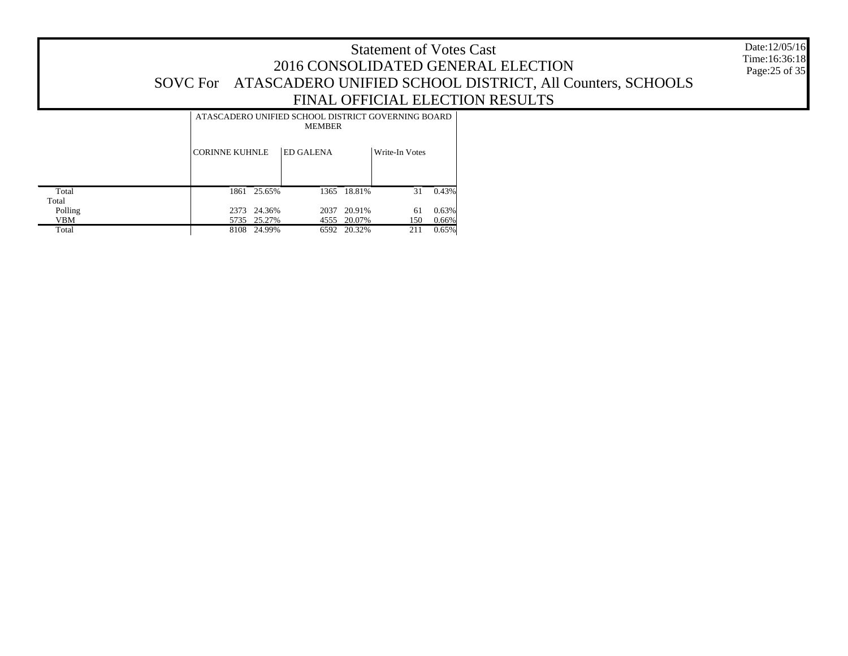|                |                       |             | ATASCADERO UNIFIED SCHOOL DISTRICT GOVERNING BOARD<br><b>MEMBER</b> |        |                |          |
|----------------|-----------------------|-------------|---------------------------------------------------------------------|--------|----------------|----------|
|                | <b>CORINNE KUHNLE</b> |             | <b>ED GALENA</b>                                                    |        | Write-In Votes |          |
| Total<br>Total |                       | 1861 25.65% | 1365                                                                | 18.81% | 31             | 0.43%    |
| Polling        | 2373                  | 24.36%      | 2037                                                                | 20.91% | 61             | 0.63%    |
| <b>VBM</b>     |                       | 5735 25.27% | 4555                                                                | 20.07% | 150            | $0.66\%$ |
| Total          | 8108                  | 24.99%      | 6592                                                                | 20.32% | 211            | 0.65%    |

Date:12/05/16 Time:16:36:18 Page:25 of 35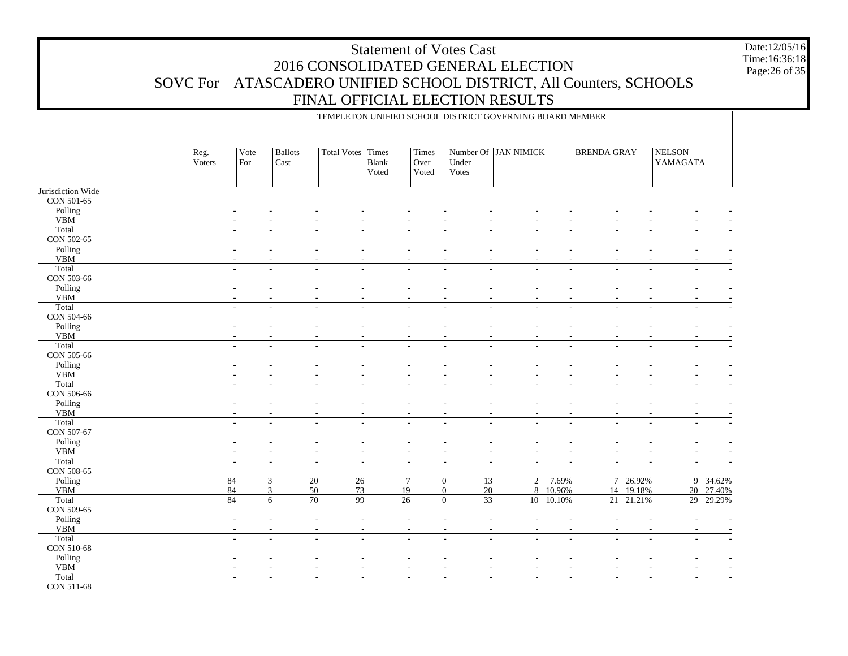TEMPLETON UNIFIED SCHOOL DISTRICT GOVERNING BOARD MEMBER

Jurisdiction Wide CON 501-65 Polling VBM**Total**  CON 502-65 Polling VBM Total CON 503-66 Polling VBM Total CON 504-66 Polling VBM**Total**  CON 505-66 Polling VBM**Total**  CON 506-66 Polling VBM**Total**  CON 507-67 Polling VBM**Total**  CON 508-65 Polling VBM Total CON 509-65 Polling VBM**Total**  CON 510-68 Polling VBM Total CON 511-68 Reg. VotersVote ForBallots CastTotal Votes | Times Blank VotedTimes Over VotedNumber Of | JAN NIMICK Under VotesBRENDA GRAY | NELSON YAMAGATA - - - - - - - - - - - - - - - - - - - - - - - - - - - - - - - - - - - - - - - - - - - - - - - - - - - - - - - - - - - - - - - - - - - - - - - - - - - - - - - - - - - - - - - - - - - - - - - - - - - - - - - - - - - - - - - - - - - - - - - - - - - - - - - - - - - - - - - - - - - - - - - - - - - - - - - - - - - - - - - - - - - - - - - - - - - - - - - - - - - - - - - - - - - - - - - - - - - - - - - - - - - - - - - - - - - - - - - - - - - - - - - - - - - - - - - - - - - - - - - - - - - - - - - - - - - - - - - - - 84 3 20 26 7 0 13 2 7.69% 7 26.92% 9 34.62% 84 3 50 73 19 0 20 8 10.96% 14 19.18% 20 27.40% 84 6 70 99 26 0 33 10 10.10% 21 21.21% 29 29.29% - - - - - - - - - - - - - - - - - - - - - - - - - - - - - - - - - - - - - - - - - - - - - - - - - - - - - - - - - - - - - - - - - - - - - - - - - - -

Date:12/05/16Time:16:36:18Page:26 of 35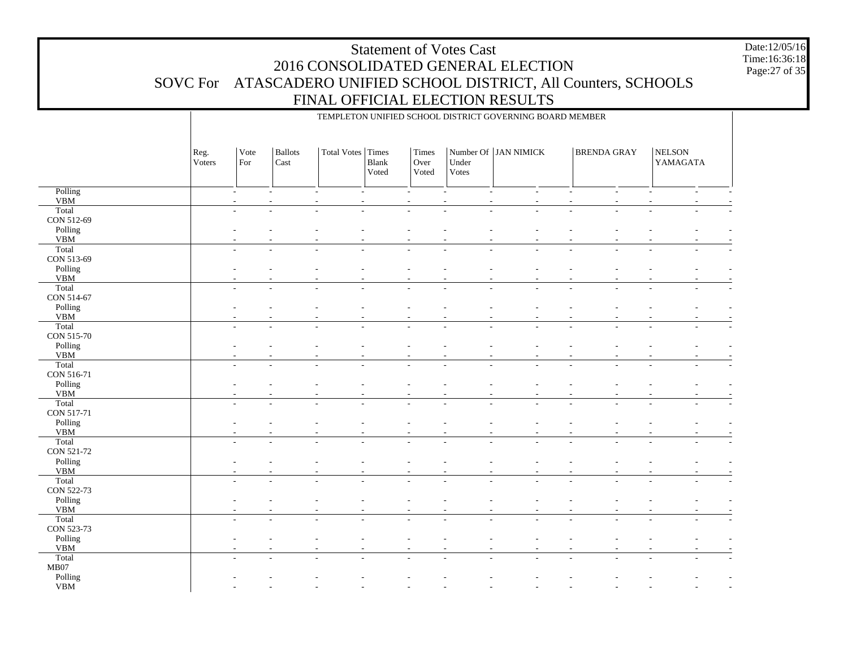TEMPLETON UNIFIED SCHOOL DISTRICT GOVERNING BOARD MEMBER

- - - - - - - - - - - -

 Polling VBM**Total**  CON 512-69 Polling VBM Total CON 513-69 Polling VBM**Total**  CON 514-67 Polling VBM**Total**  CON 515-70 Polling VBM Total CON 516-71 Polling VBM**Total**  CON 517-71 Polling VBM**Total**  CON 521-72 Polling VBM**Total**  CON 522-73 Polling VBM**Total**  CON 523-73 Polling VBM**Total**  MB07 Polling VBMReg. VotersVote ForBallots CastTotal Votes | Times Blank VotedTimes Over VotedNumber Of | JAN NIMICK Under VotesBRENDA GRAY | NELSON YAMAGATA - - - - - - - - - - - - - - - - - - - - - - - - - - - - - - - - - - - - - - - - - - - - - - - - - - - - - - - - - - - - - - - - - - - - - - - - - - - - - - - - - - - - - - - - - - - - - - - - - - - - - - - - - - - - - - - - - - - - - - - - - - - - - - - - - - - - - - - - - - - - - - - - - - - - - - - - - - - - - - - - - - - - - - - - - - - - - - - - - - - - - - - - - - - - - - - - - - - - - - - - - - - - - - - - - - - - - - - - - - - - - - - - - - - - - - - - - - - - - - - - - - - - - - - - - - - - - - - - - - - - - - - - - - - - - - - - - - - - - - - - - - - - - - - - - - - - - - - - - - - - - - - - - - - - - - - - - - - - - - - - - - - - - - - - - - - - - - - - - - - - - - - - - - - - - - - - - - - - - - - - - - - - - - - - - - - - - - - - - - - - - - -

Date:12/05/16Time:16:36:18Page:27 of 35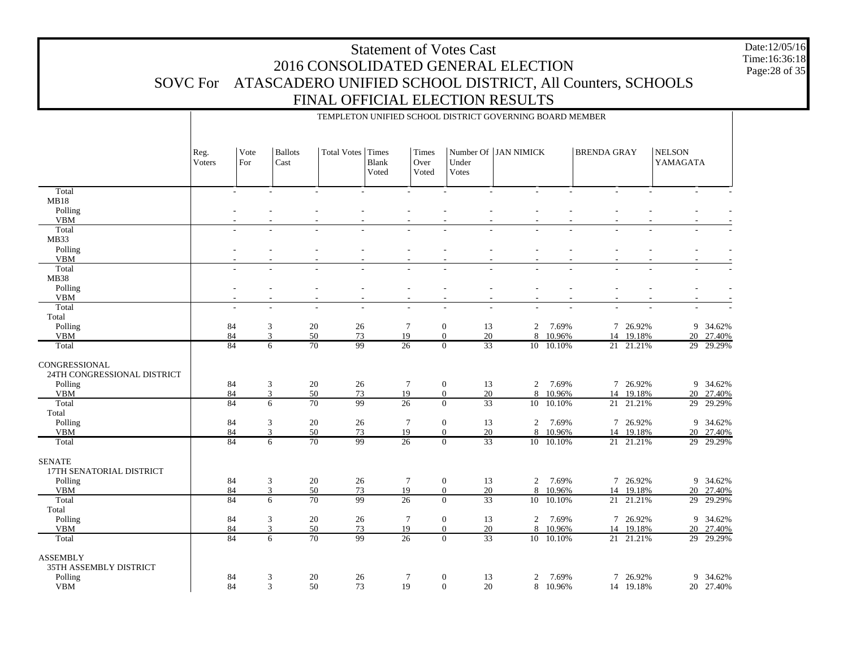Date:12/05/16 Time:16:36:18 Page:28 of 35

|                                              | TEMPLETON UNIFIED SCHOOL DISTRICT GOVERNING BOARD MEMBER |                 |                        |                                          |                |                        |                                                   |                      |                 |                    |                        |                           |                     |  |
|----------------------------------------------|----------------------------------------------------------|-----------------|------------------------|------------------------------------------|----------------|------------------------|---------------------------------------------------|----------------------|-----------------|--------------------|------------------------|---------------------------|---------------------|--|
|                                              | Reg.<br>Voters                                           | Vote<br>For     | <b>Ballots</b><br>Cast | Total Votes Times                        | Blank<br>Voted | Times<br>Over<br>Voted | Under<br>Votes                                    | Number Of JAN NIMICK |                 | <b>BRENDA GRAY</b> |                        | <b>NELSON</b><br>YAMAGATA |                     |  |
| Total                                        |                                                          | $\sim$          |                        |                                          |                |                        |                                                   |                      |                 |                    |                        |                           |                     |  |
| MB18                                         |                                                          |                 |                        |                                          |                |                        |                                                   |                      |                 |                    |                        |                           |                     |  |
| Polling<br><b>VBM</b>                        |                                                          |                 |                        |                                          |                |                        |                                                   |                      |                 |                    |                        |                           |                     |  |
| Total                                        |                                                          |                 |                        |                                          |                |                        |                                                   |                      |                 |                    |                        |                           |                     |  |
| MB33                                         |                                                          |                 |                        |                                          |                |                        |                                                   |                      |                 |                    |                        |                           |                     |  |
| Polling                                      |                                                          |                 |                        |                                          |                |                        |                                                   |                      |                 |                    |                        |                           |                     |  |
| <b>VBM</b>                                   |                                                          |                 |                        |                                          |                |                        |                                                   |                      |                 |                    |                        |                           |                     |  |
| Total                                        |                                                          |                 |                        |                                          |                |                        |                                                   |                      |                 |                    |                        |                           |                     |  |
| <b>MB38</b>                                  |                                                          |                 |                        |                                          |                |                        |                                                   |                      |                 |                    |                        |                           |                     |  |
| Polling<br><b>VBM</b>                        |                                                          |                 | $\overline{a}$         | ÷.<br>$\sim$<br>$\overline{\phantom{a}}$ |                | $\overline{a}$         | $\overline{a}$<br>$\sim$                          | $\sim$               |                 |                    | $\overline{a}$         |                           |                     |  |
| Total                                        |                                                          |                 |                        | L.<br>$\sim$                             |                | $\overline{a}$         | ÷,                                                | $\sim$               |                 |                    |                        | $\overline{a}$            |                     |  |
| Total                                        |                                                          |                 |                        |                                          |                |                        |                                                   |                      |                 |                    |                        |                           |                     |  |
| Polling                                      |                                                          | 84              | 3                      | 20<br>26                                 |                | $\tau$                 | $\boldsymbol{0}$<br>13                            | $\mathfrak{2}$       | 7.69%           |                    | 7 26.92%               |                           | 9 34.62%            |  |
| <b>VBM</b>                                   |                                                          | 84              | 3                      | 50<br>73                                 |                | 19                     | $\overline{0}$<br>20                              | 8                    | 10.96%          | 14                 | 19.18%                 |                           | 20 27.40%           |  |
| Total                                        |                                                          | 84              | 6                      | 70<br>99                                 |                | $\overline{26}$        | 33<br>$\overline{0}$                              |                      | 10 10.10%       |                    | 21 21.21%              |                           | 29 29.29%           |  |
| CONGRESSIONAL<br>24TH CONGRESSIONAL DISTRICT |                                                          |                 |                        |                                          |                |                        |                                                   |                      |                 |                    |                        |                           |                     |  |
| Polling                                      |                                                          | 84              | 3                      | 20<br>26                                 |                | $\tau$                 | $\mathbf{0}$<br>13                                | 2                    | 7.69%           |                    | 7 26.92%               |                           | 9 34.62%            |  |
| <b>VBM</b>                                   |                                                          | 84              | $\mathfrak{Z}$         | 50<br>73                                 |                | 19                     | $\mathbf{0}$<br>20                                | 8                    | 10.96%          | 14                 | 19.18%                 |                           | 20 27.40%           |  |
| Total                                        |                                                          | 84              | 6                      | $\overline{70}$<br>99                    |                | $\overline{26}$        | $\overline{33}$<br>$\overline{0}$                 |                      | 10 10.10%       |                    | 21 21.21%              |                           | 29 29.29%           |  |
| Total<br>Polling                             |                                                          | 84              | $\mathfrak{Z}$         | $20\,$<br>26                             |                | $\tau$                 | $\boldsymbol{0}$<br>13                            | 2                    | 7.69%           |                    | 7 26.92%               |                           | 9 34.62%            |  |
| <b>VBM</b>                                   |                                                          | 84              | $\mathfrak{Z}$         | 50<br>73                                 |                | 19                     | $\overline{0}$<br>20                              | 8                    | 10.96%          | 14                 | 19.18%                 |                           | 20 27.40%           |  |
| Total                                        |                                                          | 84              | 6                      | 99<br>70                                 |                | $\overline{26}$        | 33<br>$\mathbf{0}$                                |                      | 10 10.10%       |                    | 21 21.21%              |                           | 29 29.29%           |  |
| <b>SENATE</b><br>17TH SENATORIAL DISTRICT    |                                                          |                 |                        |                                          |                |                        |                                                   |                      |                 |                    |                        |                           |                     |  |
| Polling                                      |                                                          | 84              | $\mathfrak{Z}$         | $20\,$<br>26                             |                | $\tau$                 | $\boldsymbol{0}$<br>13                            | $\overline{2}$       | 7.69%           |                    | 7 26.92%               |                           | 9 34.62%            |  |
| <b>VBM</b><br>Total                          |                                                          | 84<br>84        | $\mathfrak{Z}$<br>6    | 50<br>73<br>99<br>$\overline{70}$        |                | 19<br>$\overline{26}$  | $\mathbf{0}$<br>20<br>$\overline{33}$<br>$\Omega$ | 8<br>10 <sup>7</sup> | 10.96%          |                    | 14 19.18%<br>21 21.21% |                           | 20 27.40%           |  |
| Total                                        |                                                          |                 |                        |                                          |                |                        |                                                   |                      | 10.10%          |                    |                        |                           | 29 29.29%           |  |
| Polling                                      |                                                          | 84              | 3                      | $20\,$<br>26                             |                | $\tau$                 | $\boldsymbol{0}$<br>13                            | $\overline{2}$       | 7.69%           |                    | 7 26.92%               |                           | 9 34.62%            |  |
| <b>VBM</b>                                   |                                                          | 84              | 3                      | 50<br>73                                 |                | 19                     | 20<br>$\mathbf{0}$                                | 8                    | 10.96%          |                    | 14 19.18%              |                           | 20 27.40%           |  |
| Total                                        |                                                          | $\overline{84}$ | $\overline{6}$         | 99<br>$\overline{70}$                    |                | $\overline{26}$        | $\overline{33}$<br>$\overline{0}$                 |                      | 10 10.10%       |                    | 21 21.21%              |                           | 29 29.29%           |  |
| <b>ASSEMBLY</b><br>35TH ASSEMBLY DISTRICT    |                                                          |                 |                        |                                          |                |                        |                                                   |                      |                 |                    |                        |                           |                     |  |
| Polling<br>${\tt VBM}$                       |                                                          | 84<br>84        | 3<br>$\mathfrak{Z}$    | 20<br>26<br>50<br>73                     |                | $\tau$<br>19           | $\mathbf{0}$<br>13<br>$\boldsymbol{0}$<br>20      | $\overline{c}$<br>8  | 7.69%<br>10.96% | 7                  | 26.92%<br>14 19.18%    | 9                         | 34.62%<br>20 27.40% |  |
|                                              |                                                          |                 |                        |                                          |                |                        |                                                   |                      |                 |                    |                        |                           |                     |  |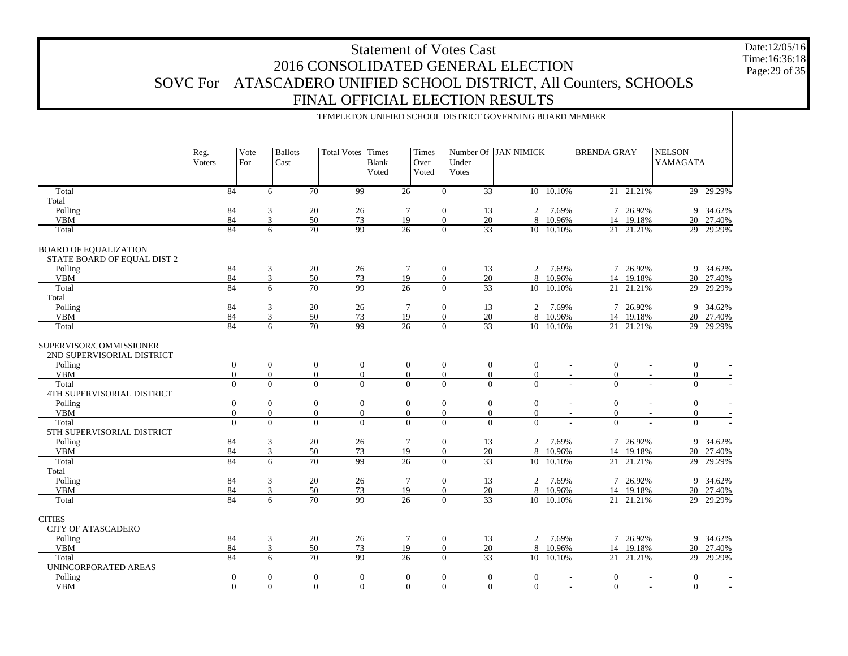Date:12/05/16 Time:16:36:18 Page:29 of 35

|                                                             | TEMPLETON UNIFIED SCHOOL DISTRICT GOVERNING BOARD MEMBER |                  |             |                        |                 |                   |                       |                        |                  |                  |                      |                |                                            |                          |                           |           |
|-------------------------------------------------------------|----------------------------------------------------------|------------------|-------------|------------------------|-----------------|-------------------|-----------------------|------------------------|------------------|------------------|----------------------|----------------|--------------------------------------------|--------------------------|---------------------------|-----------|
|                                                             | Reg.<br>Voters                                           |                  | Vote<br>For | <b>Ballots</b><br>Cast |                 | Total Votes Times | <b>Blank</b><br>Voted | Times<br>Over<br>Voted |                  | Under<br>Votes   | Number Of JAN NIMICK |                | <b>BRENDA GRAY</b>                         |                          | <b>NELSON</b><br>YAMAGATA |           |
| Total                                                       |                                                          | $\overline{84}$  |             | 6                      | $\overline{70}$ | $\overline{99}$   |                       | $\overline{26}$        | $\overline{0}$   | $\overline{33}$  |                      | $10 - 10.10\%$ |                                            | $21 - 21.21\%$           |                           | 29 29.29% |
| Total                                                       |                                                          |                  |             |                        |                 |                   |                       |                        |                  |                  |                      |                |                                            |                          |                           |           |
| Polling                                                     |                                                          | 84               |             | 3                      | 20              | 26                |                       | $\tau$                 | $\mathbf{0}$     | 13               | 2                    | 7.69%          |                                            | 7 26.92%                 |                           | 9 34.62%  |
| <b>VBM</b>                                                  |                                                          | 84               |             | 3                      | 50              | 73                |                       | 19                     | $\overline{0}$   | 20               | 8                    | 10.96%         | 14                                         | 19.18%                   |                           | 20 27.40% |
| Total                                                       |                                                          | 84               |             | 6                      | 70              | 99                |                       | $\overline{26}$        | $\overline{0}$   | 33               |                      | 10 10.10%      |                                            | 21 21.21%                |                           | 29 29.29% |
| <b>BOARD OF EQUALIZATION</b><br>STATE BOARD OF EQUAL DIST 2 |                                                          |                  |             |                        |                 |                   |                       |                        |                  |                  |                      |                |                                            |                          |                           |           |
| Polling                                                     |                                                          | 84               |             | 3                      | 20              | 26                |                       | $\overline{7}$         | $\mathbf{0}$     | 13               | $\overline{2}$       | 7.69%          |                                            | 7 26.92%                 |                           | 9 34.62%  |
| <b>VBM</b>                                                  |                                                          | 84               |             | $\overline{3}$         | 50              | 73                |                       | 19                     | $\mathbf{0}$     | 20               |                      | 8 10.96%       |                                            | 14 19.18%                |                           | 20 27.40% |
| Total                                                       |                                                          | 84               |             | 6                      | $\overline{70}$ | 99                |                       | $\overline{26}$        | $\Omega$         | $\overline{33}$  |                      | 10 10.10%      | 21                                         | 21.21%                   |                           | 29 29.29% |
| Total                                                       |                                                          |                  |             |                        |                 |                   |                       |                        |                  |                  |                      |                |                                            |                          |                           |           |
| Polling                                                     |                                                          | 84               |             | 3                      | 20              | 26                |                       | $7\phantom{.0}$        | $\mathbf{0}$     | 13               | $\overline{2}$       | 7.69%          |                                            | 7 26.92%                 |                           | 9 34.62%  |
| <b>VBM</b>                                                  |                                                          | 84               |             | 3                      | 50              | 73                |                       | 19                     | $\overline{0}$   | 20               |                      | 8 10.96%       | 14                                         | 19.18%                   |                           | 20 27.40% |
| Total                                                       |                                                          | 84               |             | 6                      | 70              | 99                |                       | $\overline{26}$        | $\Omega$         | $\overline{33}$  |                      | 10 10.10%      |                                            | 21 21.21%                |                           | 29 29.29% |
| SUPERVISOR/COMMISSIONER<br>2ND SUPERVISORIAL DISTRICT       |                                                          |                  |             |                        |                 |                   |                       |                        |                  |                  |                      |                |                                            |                          |                           |           |
| Polling                                                     |                                                          | $\boldsymbol{0}$ |             | $\boldsymbol{0}$       | $\mathbf{0}$    | $\boldsymbol{0}$  |                       | $\boldsymbol{0}$       | $\boldsymbol{0}$ | $\boldsymbol{0}$ | $\boldsymbol{0}$     |                | $\mathbf{0}$                               | $\overline{\phantom{a}}$ | $\boldsymbol{0}$          |           |
| <b>VBM</b>                                                  |                                                          | $\Omega$         |             | $\overline{0}$         | $\mathbf{0}$    | $\overline{0}$    |                       | $\overline{0}$         | $\overline{0}$   | $\overline{0}$   | $\overline{0}$       |                | $\mathbf{0}$                               |                          | $\mathbf{0}$              |           |
| Total<br>4TH SUPERVISORIAL DISTRICT                         |                                                          | $\overline{0}$   |             | $\overline{0}$         | $\Omega$        | $\overline{0}$    |                       | $\overline{0}$         | $\overline{0}$   | $\overline{0}$   | $\Omega$             |                | $\overline{0}$                             |                          | $\overline{0}$            |           |
| Polling                                                     |                                                          | $\mathbf{0}$     |             | $\mathbf{0}$           | $\mathbf{0}$    | $\mathbf{0}$      |                       | $\boldsymbol{0}$       | $\mathbf{0}$     | $\boldsymbol{0}$ | $\overline{0}$       |                | $\mathbf{0}$                               | L,                       | $\mathbf{0}$              |           |
| <b>VBM</b>                                                  |                                                          | $\Omega$         |             | $\overline{0}$         | $\mathbf{0}$    | $\boldsymbol{0}$  |                       | $\overline{0}$         | $\overline{0}$   | $\overline{0}$   | $\overline{0}$       |                | $\boldsymbol{0}$                           |                          | $\mathbf{0}$              |           |
| Total<br>5TH SUPERVISORIAL DISTRICT                         |                                                          | $\overline{0}$   |             | $\overline{0}$         | $\overline{0}$  | $\overline{0}$    |                       | $\Omega$               | $\overline{0}$   | $\overline{0}$   | $\Omega$             |                | $\overline{0}$                             |                          | $\overline{0}$            |           |
| Polling                                                     |                                                          | 84               |             | 3                      | 20              | 26                |                       | $7\phantom{.0}$        | $\mathbf{0}$     | 13               | 2                    | 7.69%          |                                            | 7 26.92%                 |                           | 9 34.62%  |
| <b>VBM</b>                                                  |                                                          | 84               |             | 3                      | 50              | 73                |                       | 19                     | $\overline{0}$   | 20               | 8                    | 10.96%         | 14                                         | 19.18%                   |                           | 20_27.40% |
| Total                                                       |                                                          | $\overline{84}$  |             | 6                      | $\overline{70}$ | 99                |                       | $\overline{26}$        | $\overline{0}$   | $\overline{33}$  | $\overline{10}$      | 10.10%         | 21                                         | 21.21%                   | 29                        | 29.29%    |
| Total                                                       |                                                          |                  |             |                        |                 |                   |                       |                        |                  |                  |                      |                |                                            |                          |                           |           |
| Polling                                                     |                                                          | 84               |             | 3                      | 20              | 26                |                       | $7\phantom{.0}$        | $\mathbf{0}$     | 13               | 2                    | 7.69%          | $\tau$                                     | 26.92%                   |                           | 9 34.62%  |
| <b>VBM</b>                                                  |                                                          | 84               |             | 3                      | 50              | 73                |                       | 19                     | $\overline{0}$   | 20               | 8                    | 10.96%         | 14                                         | 19.18%                   |                           | 20 27.40% |
| Total                                                       |                                                          | $\overline{84}$  |             | 6                      | 70              | 99                |                       | 26                     | $\Omega$         | $\overline{33}$  |                      | 10 10.10%      |                                            | 21 21.21%                |                           | 29 29.29% |
| <b>CITIES</b><br><b>CITY OF ATASCADERO</b>                  |                                                          |                  |             |                        |                 |                   |                       |                        |                  |                  |                      |                |                                            |                          |                           |           |
| Polling                                                     |                                                          | 84               |             | 3                      | $20\,$          | 26                |                       | $\overline{7}$         | $\boldsymbol{0}$ | 13               | $\overline{2}$       | 7.69%          |                                            | 7 26.92%                 |                           | 9 34.62%  |
| <b>VBM</b>                                                  |                                                          | 84               |             | 3                      | 50              | 73                |                       | 19                     | $\mathbf{0}$     | 20               |                      | 8 10.96%       |                                            | 14 19.18%                |                           | 20 27.40% |
| Total                                                       |                                                          | $\overline{84}$  |             | $\overline{6}$         | 70              | 99                |                       | $\overline{26}$        | $\overline{0}$   | $\overline{33}$  | 10 <sup>10</sup>     | 10.10%         | $\overline{21}$                            | 21.21%                   | 29                        | 29.29%    |
| UNINCORPORATED AREAS                                        |                                                          |                  |             |                        |                 |                   |                       |                        |                  |                  |                      |                |                                            |                          |                           |           |
| Polling                                                     |                                                          | $\boldsymbol{0}$ |             | $\mathbf{0}$           | $\mathbf{0}$    | $\boldsymbol{0}$  |                       | $\boldsymbol{0}$       | $\boldsymbol{0}$ | $\boldsymbol{0}$ | $\overline{0}$       |                | $\mathbf{0}$<br>$\overline{\phantom{a}}$   | $\sim$                   | $\mathbf{0}$              |           |
| <b>VBM</b>                                                  |                                                          | $\Omega$         |             | $\Omega$               | $\Omega$        | $\Omega$          |                       | $\Omega$               | $\overline{0}$   | $\overline{0}$   | $\overline{0}$       |                | $\overline{0}$<br>$\overline{\phantom{a}}$ | $\overline{\phantom{a}}$ | $\overline{0}$            |           |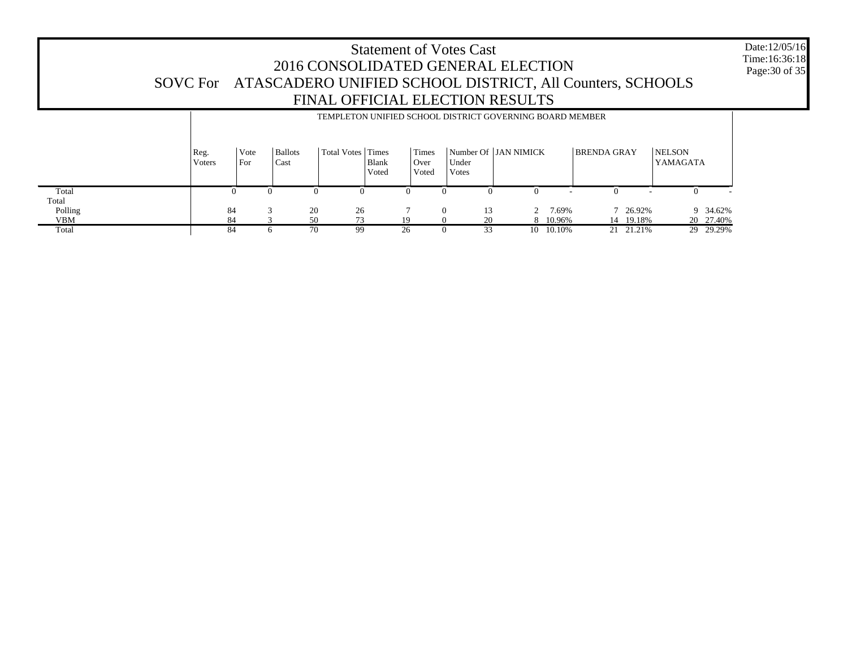Date:12/05/16 Time:16:36:18Page:30 of 35

 Total Total Polling VBM**Total** Reg. VotersVote ForBallots CastTotal Votes | Times Blank VotedTimes Over VotedNumber Of JAN NIMICKUnder VotesBRENDA GRAY | NELSON YAMAGATA TEMPLETON UNIFIED SCHOOL DISTRICT GOVERNING BOARD MEMBER  $\overline{0}$  0 0 0 0 0 0 0 - 0 - 0 - 84 $\begin{array}{cccccccc} 3 & 20 & 26 & 7 & 0 & 13 & 2 & 7.69\% \\ 3 & 50 & 73 & 19 & 0 & 20 & 8 & 10.96\% \\ 6 & 70 & 99 & 26 & 0 & 33 & 10 & 10.10\% \end{array}$  7 26.92% 9 34.62% 843 50 73 19 0 20 8 10.96%<br>6 70 99 26 0 33 10 10.10% 14 19.18% 20 27.40%<br>21 21.21% 29 29.29% 84 6 70 99 26 0 33 10 10.10%21 21.21%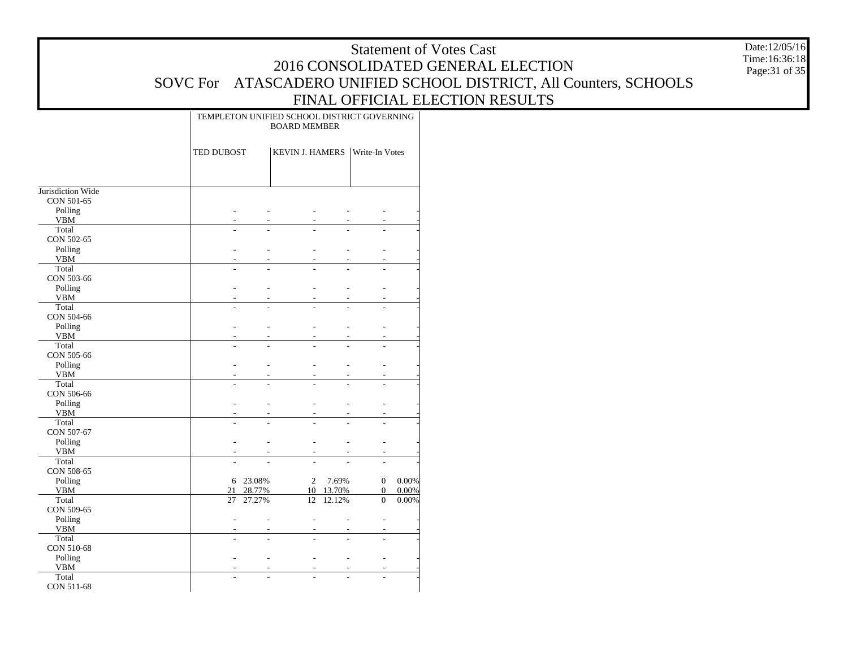Date:12/05/16 Time:16:36:18 Page:31 of 35

|                       |            | TEMPLETON UNIFIED SCHOOL DISTRICT GOVERNING<br><b>BOARD MEMBER</b> |                        |        |                |       |  |
|-----------------------|------------|--------------------------------------------------------------------|------------------------|--------|----------------|-------|--|
|                       | TED DUBOST |                                                                    | <b>KEVIN J. HAMERS</b> |        | Write-In Votes |       |  |
|                       |            |                                                                    |                        |        |                |       |  |
| Jurisdiction Wide     |            |                                                                    |                        |        |                |       |  |
| CON 501-65            |            |                                                                    |                        |        |                |       |  |
| Polling               |            |                                                                    |                        |        |                |       |  |
| <b>VBM</b>            |            |                                                                    |                        |        |                |       |  |
| Total                 |            |                                                                    |                        |        |                |       |  |
| CON 502-65            |            |                                                                    |                        |        |                |       |  |
| Polling               |            |                                                                    |                        |        |                |       |  |
| <b>VBM</b>            |            |                                                                    |                        |        |                |       |  |
| Total                 |            |                                                                    |                        |        |                |       |  |
| CON 503-66            |            |                                                                    |                        |        |                |       |  |
| Polling<br><b>VBM</b> |            | L                                                                  |                        |        |                |       |  |
| Total                 |            |                                                                    |                        |        |                |       |  |
| CON 504-66            |            |                                                                    |                        |        |                |       |  |
| Polling               |            | L,                                                                 |                        |        |                |       |  |
| <b>VBM</b>            |            | L,                                                                 |                        |        |                |       |  |
| Total                 | ٠          | L.                                                                 |                        |        |                |       |  |
| CON 505-66            |            |                                                                    |                        |        |                |       |  |
| Polling               |            | L.                                                                 |                        |        |                |       |  |
| <b>VBM</b>            |            | L,                                                                 |                        |        |                |       |  |
| Total                 |            | $\overline{a}$                                                     |                        |        |                |       |  |
| CON 506-66            |            |                                                                    |                        |        |                |       |  |
| Polling               |            | $\overline{a}$                                                     |                        |        |                |       |  |
| <b>VBM</b>            |            |                                                                    |                        |        |                |       |  |
| Total                 |            |                                                                    |                        |        |                |       |  |
| CON 507-67            |            |                                                                    |                        |        |                |       |  |
| Polling               |            |                                                                    |                        |        |                |       |  |
| <b>VBM</b>            |            |                                                                    |                        |        |                |       |  |
| Total                 |            |                                                                    |                        |        |                |       |  |
| CON 508-65            |            |                                                                    |                        |        |                |       |  |
| Polling               |            | 6 23.08%                                                           | 2                      | 7.69%  | 0              | 0.00% |  |
| <b>VBM</b>            | 21         | 28.77%                                                             | 10                     | 13.70% | $\mathbf{0}$   | 0.00% |  |
| Total                 | 27         | 27.27%                                                             | 12                     | 12.12% | $\mathbf{0}$   | 0.00% |  |
| CON 509-65            |            |                                                                    |                        |        |                |       |  |
| Polling               |            |                                                                    |                        |        |                |       |  |
| <b>VBM</b>            |            |                                                                    |                        |        |                |       |  |
| Total                 |            |                                                                    |                        |        |                |       |  |
| CON 510-68            |            |                                                                    |                        |        |                |       |  |
| Polling               |            |                                                                    |                        |        |                |       |  |
| <b>VBM</b><br>Total   |            |                                                                    |                        |        |                |       |  |
| CON 511-68            |            |                                                                    |                        |        |                |       |  |
|                       |            |                                                                    |                        |        |                |       |  |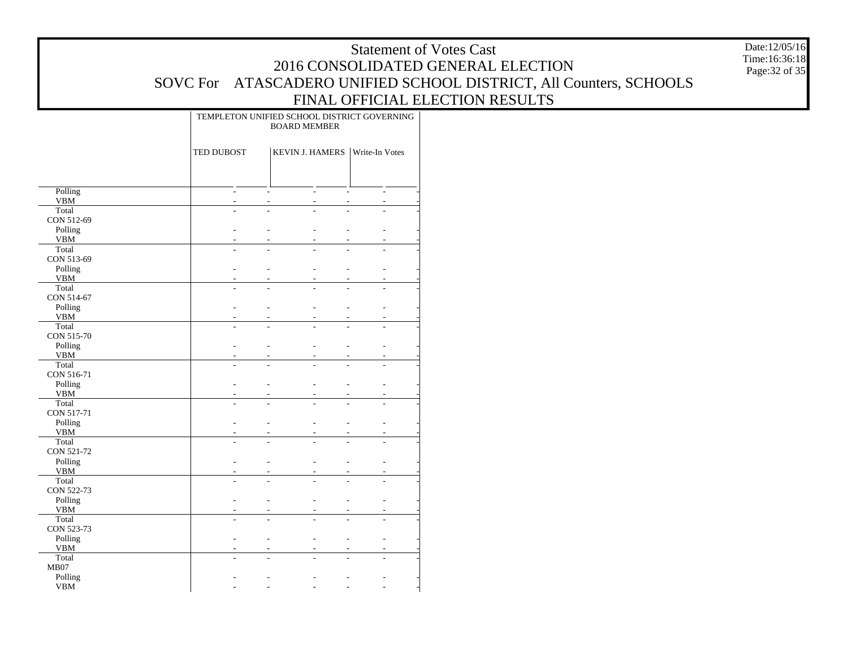Date:12/05/16 Time:16:36:18 Page:32 of 35

|                     |                | TEMPLETON UNIFIED SCHOOL DISTRICT GOVERNING<br><b>BOARD MEMBER</b> |                                            |  |  |  |  |
|---------------------|----------------|--------------------------------------------------------------------|--------------------------------------------|--|--|--|--|
|                     | TED DUBOST     | <b>KEVIN J. HAMERS</b>                                             | Write-In Votes                             |  |  |  |  |
|                     |                |                                                                    |                                            |  |  |  |  |
| Polling             | ÷              | $\overline{a}$<br>÷                                                | ÷.<br>÷                                    |  |  |  |  |
| <b>VBM</b><br>Total | L,<br>÷.       | L,<br>$\overline{a}$<br>L<br>÷.                                    | $\overline{a}$<br>÷,                       |  |  |  |  |
| CON 512-69          |                |                                                                    |                                            |  |  |  |  |
| Polling             | ٠              | L,                                                                 | L.<br>٠                                    |  |  |  |  |
| <b>VBM</b>          |                | L.                                                                 | L.<br>ä,                                   |  |  |  |  |
| Total               |                |                                                                    |                                            |  |  |  |  |
| CON 513-69          |                |                                                                    |                                            |  |  |  |  |
| Polling             | ÷.             | $\overline{a}$                                                     | L                                          |  |  |  |  |
| <b>VBM</b>          |                | -                                                                  |                                            |  |  |  |  |
| Total               | ÷.             | L                                                                  |                                            |  |  |  |  |
| CON 514-67          |                |                                                                    |                                            |  |  |  |  |
| Polling             | $\overline{a}$ | $\overline{\phantom{0}}$                                           | $\overline{\phantom{0}}$                   |  |  |  |  |
| <b>VBM</b>          |                |                                                                    |                                            |  |  |  |  |
| Total<br>CON 515-70 |                |                                                                    |                                            |  |  |  |  |
| Polling             | L,             | $\overline{\phantom{0}}$                                           | L.                                         |  |  |  |  |
| <b>VBM</b>          |                |                                                                    |                                            |  |  |  |  |
| Total               | $\overline{a}$ | $\overline{a}$                                                     |                                            |  |  |  |  |
| CON 516-71          |                |                                                                    |                                            |  |  |  |  |
| Polling             | L,             | ÷,                                                                 | $\overline{a}$                             |  |  |  |  |
| <b>VBM</b>          |                | $\overline{a}$                                                     | L,                                         |  |  |  |  |
| Total               | $\overline{a}$ |                                                                    |                                            |  |  |  |  |
| CON 517-71          |                |                                                                    |                                            |  |  |  |  |
| Polling             | $\overline{a}$ | ÷,<br>÷,                                                           | $\overline{a}$<br>$\overline{\phantom{a}}$ |  |  |  |  |
| <b>VBM</b>          |                | ٠<br>$\overline{\phantom{a}}$                                      | ٠<br>$\overline{\phantom{a}}$              |  |  |  |  |
| Total<br>CON 521-72 | L.             | ÷.                                                                 |                                            |  |  |  |  |
| Polling             | ÷              | ÷.<br>÷                                                            | ÷<br>$\sim$                                |  |  |  |  |
| <b>VBM</b>          | ٠              | ٠<br>$\overline{\phantom{a}}$                                      | $\overline{\phantom{a}}$<br>٠              |  |  |  |  |
| Total               | L.             | L<br>÷.                                                            | L.                                         |  |  |  |  |
| CON 522-73          |                |                                                                    |                                            |  |  |  |  |
| Polling             | $\overline{a}$ | ÷,<br>$\overline{\phantom{a}}$                                     | ÷<br>÷                                     |  |  |  |  |
| <b>VBM</b>          | ÷              | ÷.<br>$\overline{\phantom{a}}$                                     | ÷<br>٠                                     |  |  |  |  |
| Total               | L.             | $\overline{a}$<br>$\overline{a}$                                   |                                            |  |  |  |  |
| CON 523-73          |                |                                                                    |                                            |  |  |  |  |
| Polling             | $\overline{a}$ | ÷,<br>$\overline{a}$                                               | ÷.<br>÷                                    |  |  |  |  |
| <b>VBM</b>          |                | L<br>÷                                                             | L.<br>$\overline{a}$                       |  |  |  |  |
| Total               | $\overline{a}$ | $\overline{a}$<br>$\overline{a}$                                   |                                            |  |  |  |  |
| MB07                |                |                                                                    |                                            |  |  |  |  |
| Polling             |                |                                                                    |                                            |  |  |  |  |
| <b>VBM</b>          |                |                                                                    |                                            |  |  |  |  |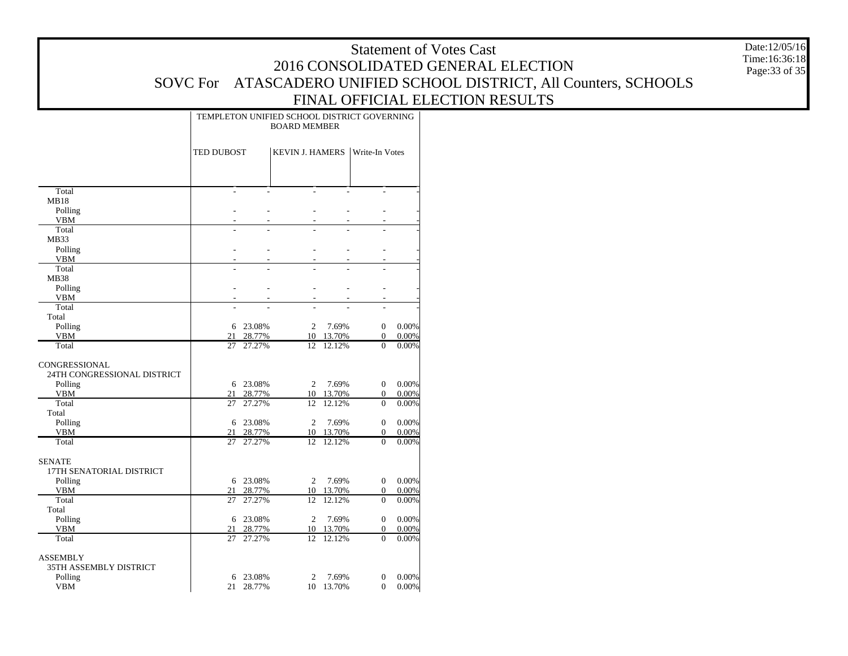Date:12/05/16 Time:16:36:18 Page:33 of 35

|                             | TEMPLETON UNIFIED SCHOOL DISTRICT GOVERNING<br><b>BOARD MEMBER</b> |                  |                        |                  |                          |                |  |
|-----------------------------|--------------------------------------------------------------------|------------------|------------------------|------------------|--------------------------|----------------|--|
|                             | TED DUBOST                                                         |                  | <b>KEVIN J. HAMERS</b> |                  | Write-In Votes           |                |  |
|                             |                                                                    |                  |                        |                  |                          |                |  |
| Total                       | $\overline{a}$                                                     | L                | $\overline{a}$         |                  |                          |                |  |
| <b>MB18</b>                 |                                                                    |                  |                        |                  |                          |                |  |
| Polling                     |                                                                    |                  |                        |                  |                          |                |  |
| <b>VBM</b><br>Total         |                                                                    | L                |                        |                  |                          |                |  |
| MB33                        |                                                                    |                  |                        |                  |                          |                |  |
| Polling                     | ÷.                                                                 | L.               | ÷                      | L.               | L.                       |                |  |
| <b>VBM</b>                  | ÷.                                                                 | L                | ÷                      | L.               | ÷,                       |                |  |
| Total                       | ÷.                                                                 |                  | ÷                      |                  | L.                       |                |  |
| <b>MB38</b>                 |                                                                    |                  |                        |                  |                          |                |  |
| Polling                     | ٠                                                                  | L,               | ٠                      | L.               | ٠                        |                |  |
| <b>VBM</b>                  |                                                                    |                  |                        |                  | L.                       |                |  |
| Total                       |                                                                    |                  | L.                     |                  | L.                       |                |  |
| Total                       |                                                                    |                  |                        |                  |                          |                |  |
| Polling                     | 6                                                                  | 23.08%           | 2                      | 7.69%            | $\mathbf{0}$             | 0.00%          |  |
| <b>VBM</b><br>Total         | 21<br>27                                                           | 28.77%<br>27.27% | 10<br>12               | 13.70%<br>12.12% | $\mathbf{0}$<br>$\Omega$ | 0.00%<br>0.00% |  |
|                             |                                                                    |                  |                        |                  |                          |                |  |
| CONGRESSIONAL               |                                                                    |                  |                        |                  |                          |                |  |
| 24TH CONGRESSIONAL DISTRICT |                                                                    |                  |                        |                  |                          |                |  |
| Polling                     |                                                                    | 6 23.08%         | $\overline{2}$         | 7.69%            | $\mathbf{0}$             | 0.00%          |  |
| <b>VBM</b>                  | 21                                                                 | 28.77%           | 10                     | 13.70%           | $\overline{0}$           | 0.00%          |  |
| Total                       | 27                                                                 | 27.27%           | 12                     | 12.12%           | $\Omega$                 | 0.00%          |  |
| Total                       |                                                                    |                  |                        |                  |                          |                |  |
| Polling                     | 6                                                                  | 23.08%           | $\overline{2}$         | 7.69%            | $\mathbf{0}$             | 0.00%          |  |
| <b>VBM</b>                  | 21                                                                 | 28.77%           | 10                     | 13.70%           | $\overline{0}$           | 0.00%          |  |
| Total                       | 27                                                                 | 27.27%           | 12                     | 12.12%           | $\overline{0}$           | 0.00%          |  |
| SENATE                      |                                                                    |                  |                        |                  |                          |                |  |
| 17TH SENATORIAL DISTRICT    |                                                                    |                  |                        |                  |                          |                |  |
| Polling                     |                                                                    | 6 23.08%         | 2                      | 7.69%            | $\overline{0}$           | 0.00%          |  |
| <b>VBM</b>                  | 21                                                                 | 28.77%           | 10                     | 13.70%           | $\boldsymbol{0}$         | 0.00%          |  |
| Total                       | 27                                                                 | 27.27%           | 12                     | 12.12%           | $\mathbf{0}$             | 0.00%          |  |
| Total                       |                                                                    |                  |                        |                  |                          |                |  |
| Polling                     | 6                                                                  | 23.08%           | $\overline{2}$         | 7.69%            | $\overline{0}$           | 0.00%          |  |
| <b>VBM</b>                  | 21                                                                 | 28.77%           | 10                     | 13.70%           | $\overline{0}$           | 0.00%          |  |
| Total                       | 27                                                                 | 27.27%           | 12                     | 12.12%           | $\mathbf{0}$             | 0.00%          |  |
| <b>ASSEMBLY</b>             |                                                                    |                  |                        |                  |                          |                |  |
| 35TH ASSEMBLY DISTRICT      |                                                                    |                  |                        |                  |                          |                |  |
| Polling                     |                                                                    | 6 23.08%         | 2                      | 7.69%            | $\boldsymbol{0}$         | 0.00%          |  |
| VBM                         | 21                                                                 | 28.77%           |                        | 10 13.70%        | $\mathbf{0}$             | 0.00%          |  |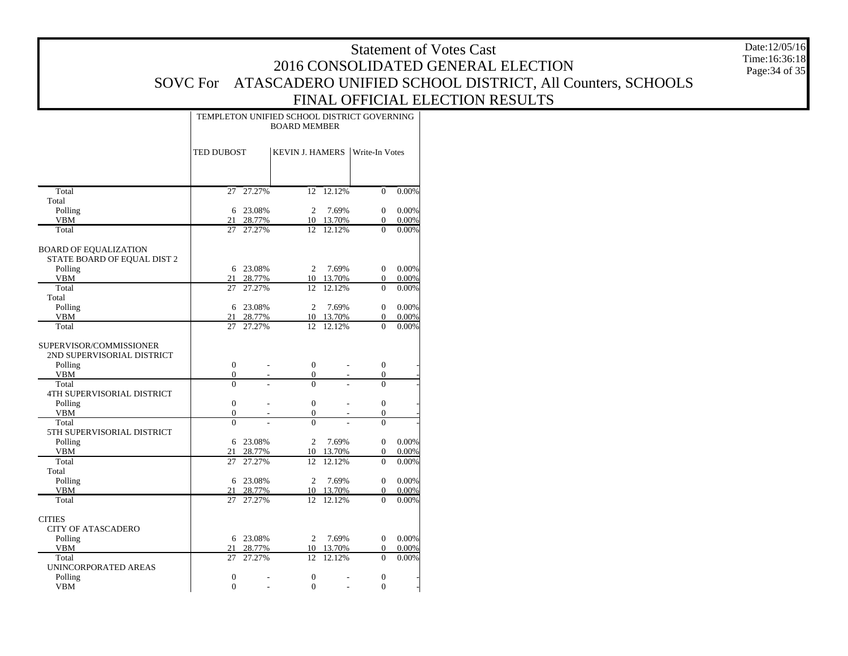Total Total Polling VBM**Total** BOARD OF EQUALIZATION STATE BOARD OF EQUAL DIST 2 Polling VBM**Total**  Total Polling VBM**Total** SUPERVISOR/COMMISSIONER 2ND SUPERVISORIAL DISTRICT Polling VBM**Total**  4TH SUPERVISORIAL DISTRICT Polling VBM**Total**  5TH SUPERVISORIAL DISTRICT Polling VBM**Total**  Total Polling VBM TotalCITIES CITY OF ATASCADERO Polling VBM**Total**  UNINCORPORATED AREAS Polling VBMTED DUBOSTKEVIN J. HAMERS | Write-In Votes TEMPLETON UNIFIED SCHOOL DISTRICT GOVERNINGBOARD MEMBER27 27.27% $\overline{12}$  12.12% 0 0.00% 6 23.08% 2 7.69% 0 0.00% 21 28.77% 10 13.70% 0 0.00% 27 27.27% 12 12.12% 0 0.00% 6 23.08% 2 7.69% 0 0.00% 21 28.77% 10 13.70% 0 0.00% 27 27.27% 12 12.12% 0 0.00% 6 23.08% 2 7.69% 0 0.00% 21 28.77% 10 13.70% 0 0.00% 27 27.27% 12 12.12% 0 0.00% 00 - 0 - 0 -00 - 0 - 0 - $\overline{0}$ 0 - 0 - 0 -00 - 0 - 0 -00 - 0 - 0 -0 $0$  - 0 - 0 -6 23.08% 2 7.69% 0 0.00% 21 28.77% 10 13.70% 0 0.00% 27 27.27% 12 12.12% 0 0.00% 6 23.08% 2 7.69% 0 0.00% 21 28.77% 10 13.70% 0 0.00% 27 27.27% 12 12.12% 0 0.00% 6 23.08% 2 7.69% 0 0.00% 21 28.77% 10 13.70% 0 0.00% 27 27.27% 12 12.12% 0 0.00% 0 $0$  - 0 - 0 - $\Omega$  $0$  - 0 - 0 - Date:12/05/16Time:16:36:18Page:34 of 35